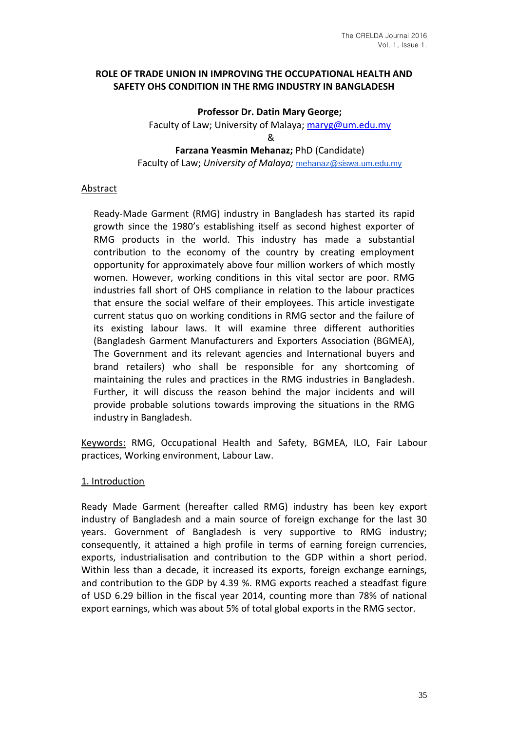## **ROLE OF TRADE UNION IN IMPROVING THE OCCUPATIONAL HEALTH AND SAFETY OHS CONDITION IN THE RMG INDUSTRY IN BANGLADESH**

**Professor Dr. Datin Mary George;** 

Faculty of Law; University of Malaya; maryg@um.edu.my

&

**Farzana Yeasmin Mehanaz;** PhD (Candidate)

Faculty of Law; *University of Malaya;* mehanaz@siswa.um.edu.my

# Abstract

Ready-Made Garment (RMG) industry in Bangladesh has started its rapid growth since the 1980's establishing itself as second highest exporter of RMG products in the world. This industry has made a substantial contribution to the economy of the country by creating employment opportunity for approximately above four million workers of which mostly women. However, working conditions in this vital sector are poor. RMG industries fall short of OHS compliance in relation to the labour practices that ensure the social welfare of their employees. This article investigate current status quo on working conditions in RMG sector and the failure of its existing labour laws. It will examine three different authorities (Bangladesh Garment Manufacturers and Exporters Association (BGMEA), The Government and its relevant agencies and International buyers and brand retailers) who shall be responsible for any shortcoming of maintaining the rules and practices in the RMG industries in Bangladesh. Further, it will discuss the reason behind the major incidents and will provide probable solutions towards improving the situations in the RMG industry in Bangladesh.

Keywords: RMG, Occupational Health and Safety, BGMEA, ILO, Fair Labour practices, Working environment, Labour Law.

## 1. Introduction

Ready Made Garment (hereafter called RMG) industry has been key export industry of Bangladesh and a main source of foreign exchange for the last 30 years. Government of Bangladesh is very supportive to RMG industry; consequently, it attained a high profile in terms of earning foreign currencies, exports, industrialisation and contribution to the GDP within a short period. Within less than a decade, it increased its exports, foreign exchange earnings, and contribution to the GDP by 4.39 %. RMG exports reached a steadfast figure of USD 6.29 billion in the fiscal year 2014, counting more than 78% of national export earnings, which was about 5% of total global exports in the RMG sector.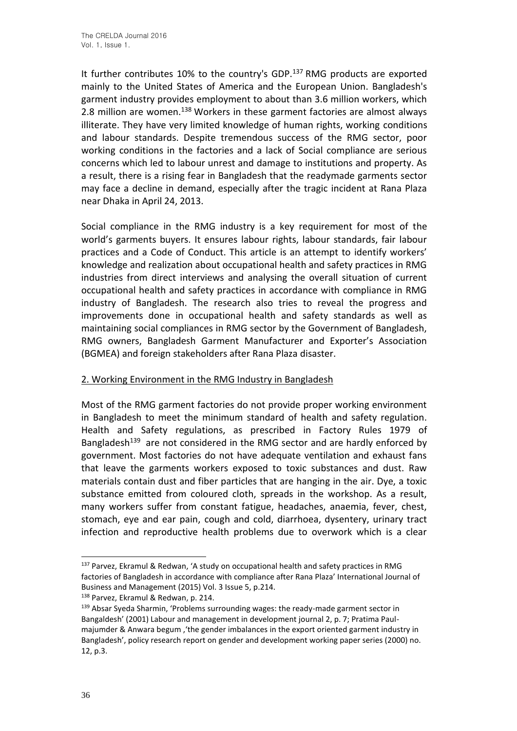It further contributes 10% to the country's GDP.<sup>137</sup> RMG products are exported mainly to the United States of America and the European Union. Bangladesh's garment industry provides employment to about than 3.6 million workers, which 2.8 million are women.<sup>138</sup> Workers in these garment factories are almost always illiterate. They have very limited knowledge of human rights, working conditions and labour standards. Despite tremendous success of the RMG sector, poor working conditions in the factories and a lack of Social compliance are serious concerns which led to labour unrest and damage to institutions and property. As a result, there is a rising fear in Bangladesh that the readymade garments sector may face a decline in demand, especially after the tragic incident at Rana Plaza near Dhaka in April 24, 2013.

Social compliance in the RMG industry is a key requirement for most of the world's garments buyers. It ensures labour rights, labour standards, fair labour practices and a Code of Conduct. This article is an attempt to identify workers' knowledge and realization about occupational health and safety practices in RMG industries from direct interviews and analysing the overall situation of current occupational health and safety practices in accordance with compliance in RMG industry of Bangladesh. The research also tries to reveal the progress and improvements done in occupational health and safety standards as well as maintaining social compliances in RMG sector by the Government of Bangladesh, RMG owners, Bangladesh Garment Manufacturer and Exporter's Association (BGMEA) and foreign stakeholders after Rana Plaza disaster.

## 2. Working Environment in the RMG Industry in Bangladesh

Most of the RMG garment factories do not provide proper working environment in Bangladesh to meet the minimum standard of health and safety regulation. Health and Safety regulations, as prescribed in Factory Rules 1979 of Bangladesh<sup>139</sup> are not considered in the RMG sector and are hardly enforced by government. Most factories do not have adequate ventilation and exhaust fans that leave the garments workers exposed to toxic substances and dust. Raw materials contain dust and fiber particles that are hanging in the air. Dye, a toxic substance emitted from coloured cloth, spreads in the workshop. As a result, many workers suffer from constant fatigue, headaches, anaemia, fever, chest, stomach, eye and ear pain, cough and cold, diarrhoea, dysentery, urinary tract infection and reproductive health problems due to overwork which is a clear

<sup>137</sup> Parvez, Ekramul & Redwan, 'A study on occupational health and safety practices in RMG factories of Bangladesh in accordance with compliance after Rana Plaza' International Journal of Business and Management (2015) Vol. 3 Issue 5, p.214.

<sup>138</sup> Parvez, Ekramul & Redwan, p. 214.

<sup>&</sup>lt;sup>139</sup> Absar Syeda Sharmin, 'Problems surrounding wages: the ready-made garment sector in Bangaldesh' (2001) Labour and management in development journal 2, p. 7; Pratima Paulmajumder & Anwara begum ,'the gender imbalances in the export oriented garment industry in Bangladesh', policy research report on gender and development working paper series (2000) no. 12, p.3.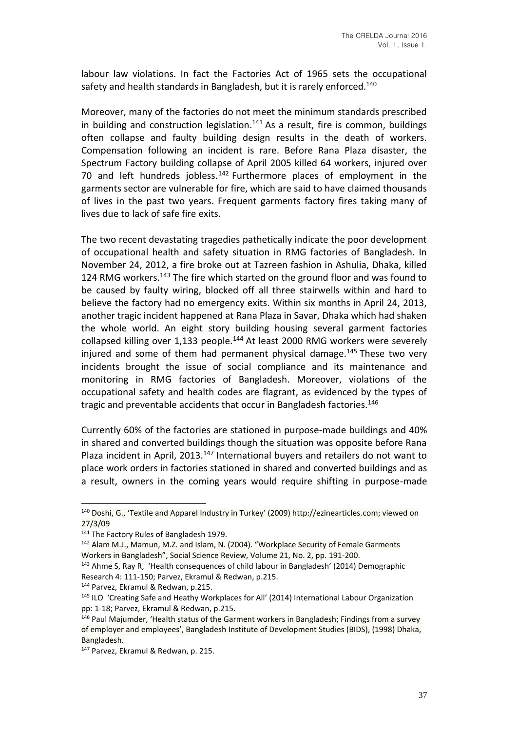labour law violations. In fact the Factories Act of 1965 sets the occupational safety and health standards in Bangladesh, but it is rarely enforced.<sup>140</sup>

Moreover, many of the factories do not meet the minimum standards prescribed in building and construction legislation. $141$  As a result, fire is common, buildings often collapse and faulty building design results in the death of workers. Compensation following an incident is rare. Before Rana Plaza disaster, the Spectrum Factory building collapse of April 2005 killed 64 workers, injured over 70 and left hundreds jobless. $142$  Furthermore places of employment in the garments sector are vulnerable for fire, which are said to have claimed thousands of lives in the past two years. Frequent garments factory fires taking many of lives due to lack of safe fire exits.

The two recent devastating tragedies pathetically indicate the poor development of occupational health and safety situation in RMG factories of Bangladesh. In November 24, 2012, a fire broke out at Tazreen fashion in Ashulia, Dhaka, killed 124 RMG workers.<sup>143</sup> The fire which started on the ground floor and was found to be caused by faulty wiring, blocked off all three stairwells within and hard to believe the factory had no emergency exits. Within six months in April 24, 2013, another tragic incident happened at Rana Plaza in Savar, Dhaka which had shaken the whole world. An eight story building housing several garment factories collapsed killing over 1,133 people.<sup>144</sup> At least 2000 RMG workers were severely injured and some of them had permanent physical damage. $145$  These two very incidents brought the issue of social compliance and its maintenance and monitoring in RMG factories of Bangladesh. Moreover, violations of the occupational safety and health codes are flagrant, as evidenced by the types of tragic and preventable accidents that occur in Bangladesh factories.<sup>146</sup>

Currently 60% of the factories are stationed in purpose-made buildings and 40% in shared and converted buildings though the situation was opposite before Rana Plaza incident in April, 2013.<sup>147</sup> International buyers and retailers do not want to place work orders in factories stationed in shared and converted buildings and as a result, owners in the coming years would require shifting in purpose-made

144 Parvez, Ekramul & Redwan, p.215.

<sup>140</sup> Doshi, G., 'Textile and Apparel Industry in Turkey' (2009) http://ezinearticles.com; viewed on 27/3/09

<sup>&</sup>lt;sup>141</sup> The Factory Rules of Bangladesh 1979.

<sup>142</sup> Alam M.J., Mamun, M.Z. and Islam, N. (2004). "Workplace Security of Female Garments Workers in Bangladesh", Social Science Review, Volume 21, No. 2, pp. 191-200.

<sup>&</sup>lt;sup>143</sup> Ahme S, Ray R, 'Health consequences of child labour in Bangladesh' (2014) Demographic Research 4: 111-150; Parvez, Ekramul & Redwan, p.215.

<sup>&</sup>lt;sup>145</sup> ILO 'Creating Safe and Heathy Workplaces for All' (2014) International Labour Organization pp: 1-18; Parvez, Ekramul & Redwan, p.215.

<sup>&</sup>lt;sup>146</sup> Paul Majumder, 'Health status of the Garment workers in Bangladesh; Findings from a survey of employer and employees', Bangladesh Institute of Development Studies (BIDS), (1998) Dhaka, Bangladesh.

<sup>&</sup>lt;sup>147</sup> Parvez, Ekramul & Redwan, p. 215.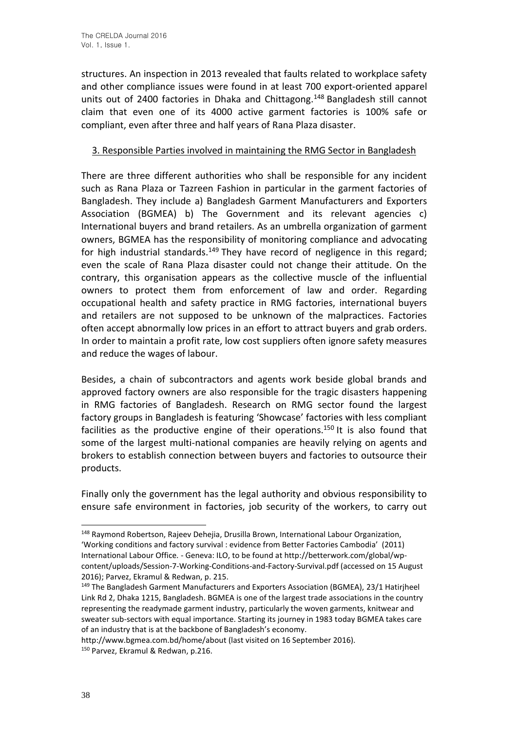structures. An inspection in 2013 revealed that faults related to workplace safety and other compliance issues were found in at least 700 export-oriented apparel units out of 2400 factories in Dhaka and Chittagong.<sup>148</sup> Bangladesh still cannot claim that even one of its 4000 active garment factories is 100% safe or compliant, even after three and half years of Rana Plaza disaster.

# 3. Responsible Parties involved in maintaining the RMG Sector in Bangladesh

There are three different authorities who shall be responsible for any incident such as Rana Plaza or Tazreen Fashion in particular in the garment factories of Bangladesh. They include a) Bangladesh Garment Manufacturers and Exporters Association (BGMEA) b) The Government and its relevant agencies c) International buyers and brand retailers. As an umbrella organization of garment owners, BGMEA has the responsibility of monitoring compliance and advocating for high industrial standards.<sup>149</sup> They have record of negligence in this regard: even the scale of Rana Plaza disaster could not change their attitude. On the contrary, this organisation appears as the collective muscle of the influential owners to protect them from enforcement of law and order. Regarding occupational health and safety practice in RMG factories, international buyers and retailers are not supposed to be unknown of the malpractices. Factories often accept abnormally low prices in an effort to attract buyers and grab orders. In order to maintain a profit rate, low cost suppliers often ignore safety measures and reduce the wages of labour.

Besides, a chain of subcontractors and agents work beside global brands and approved factory owners are also responsible for the tragic disasters happening in RMG factories of Bangladesh. Research on RMG sector found the largest factory groups in Bangladesh is featuring 'Showcase' factories with less compliant facilities as the productive engine of their operations.<sup>150</sup> It is also found that some of the largest multi-national companies are heavily relying on agents and brokers to establish connection between buyers and factories to outsource their products.

Finally only the government has the legal authority and obvious responsibility to ensure safe environment in factories, job security of the workers, to carry out

<sup>148</sup> Raymond Robertson, Rajeev Dehejia, Drusilla Brown, International Labour Organization, 'Working conditions and factory survival : evidence from Better Factories Cambodia' (2011) International Labour Office. - Geneva: ILO, to be found at http://betterwork.com/global/wpcontent/uploads/Session-7-Working-Conditions-and-Factory-Survival.pdf (accessed on 15 August 2016); Parvez, Ekramul & Redwan, p. 215.

<sup>149</sup> The Bangladesh Garment Manufacturers and Exporters Association (BGMEA), 23/1 Hatirjheel Link Rd 2, Dhaka 1215, Bangladesh. BGMEA is one of the largest trade associations in the country representing the readymade garment industry, particularly the woven garments, knitwear and sweater sub-sectors with equal importance. Starting its journey in 1983 today BGMEA takes care of an industry that is at the backbone of Bangladesh's economy.

http://www.bgmea.com.bd/home/about (last visited on 16 September 2016). <sup>150</sup> Parvez, Ekramul & Redwan, p.216.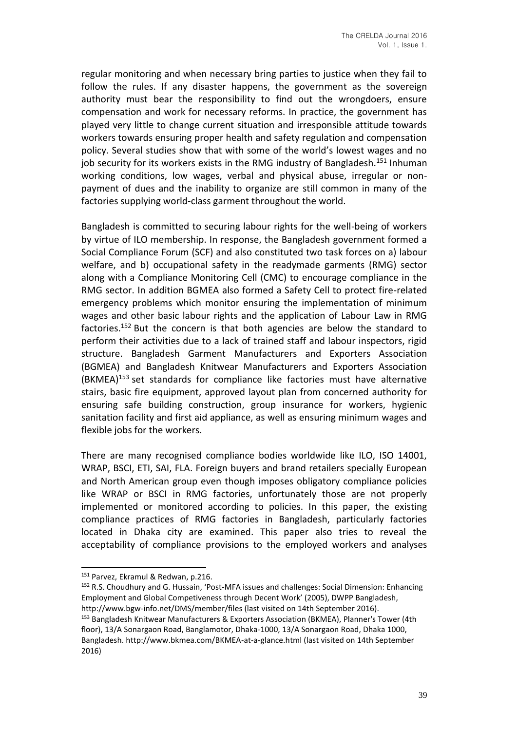regular monitoring and when necessary bring parties to justice when they fail to follow the rules. If any disaster happens, the government as the sovereign authority must bear the responsibility to find out the wrongdoers, ensure compensation and work for necessary reforms. In practice, the government has played very little to change current situation and irresponsible attitude towards workers towards ensuring proper health and safety regulation and compensation policy. Several studies show that with some of the world's lowest wages and no job security for its workers exists in the RMG industry of Bangladesh.<sup>151</sup> Inhuman working conditions, low wages, verbal and physical abuse, irregular or nonpayment of dues and the inability to organize are still common in many of the factories supplying world-class garment throughout the world.

Bangladesh is committed to securing labour rights for the well-being of workers by virtue of ILO membership. In response, the Bangladesh government formed a Social Compliance Forum (SCF) and also constituted two task forces on a) labour welfare, and b) occupational safety in the readymade garments (RMG) sector along with a Compliance Monitoring Cell (CMC) to encourage compliance in the RMG sector. In addition BGMEA also formed a Safety Cell to protect fire-related emergency problems which monitor ensuring the implementation of minimum wages and other basic labour rights and the application of Labour Law in RMG factories.<sup>152</sup> But the concern is that both agencies are below the standard to perform their activities due to a lack of trained staff and labour inspectors, rigid structure. Bangladesh Garment Manufacturers and Exporters Association (BGMEA) and Bangladesh Knitwear Manufacturers and Exporters Association (BKMEA)<sup>153</sup> set standards for compliance like factories must have alternative stairs, basic fire equipment, approved layout plan from concerned authority for ensuring safe building construction, group insurance for workers, hygienic sanitation facility and first aid appliance, as well as ensuring minimum wages and flexible jobs for the workers.

There are many recognised compliance bodies worldwide like ILO, ISO 14001, WRAP, BSCI, ETI, SAI, FLA. Foreign buyers and brand retailers specially European and North American group even though imposes obligatory compliance policies like WRAP or BSCI in RMG factories, unfortunately those are not properly implemented or monitored according to policies. In this paper, the existing compliance practices of RMG factories in Bangladesh, particularly factories located in Dhaka city are examined. This paper also tries to reveal the acceptability of compliance provisions to the employed workers and analyses

<sup>&</sup>lt;sup>151</sup> Parvez, Ekramul & Redwan, p.216.

<sup>152</sup> R.S. Choudhury and G. Hussain, 'Post-MFA issues and challenges: Social Dimension: Enhancing Employment and Global Competiveness through Decent Work' (2005), DWPP Bangladesh, http://www.bgw-info.net/DMS/member/files (last visited on 14th September 2016).

<sup>153</sup> Bangladesh Knitwear Manufacturers & Exporters Association (BKMEA), Planner's Tower (4th floor), 13/A Sonargaon Road, Banglamotor, Dhaka-1000, 13/A Sonargaon Road, Dhaka 1000, Bangladesh. http://www.bkmea.com/BKMEA-at-a-glance.html (last visited on 14th September 2016)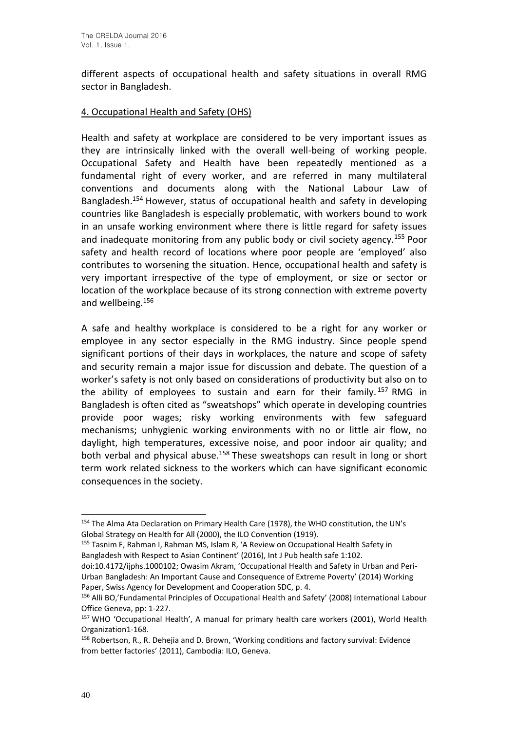different aspects of occupational health and safety situations in overall RMG sector in Bangladesh.

# 4. Occupational Health and Safety (OHS)

Health and safety at workplace are considered to be very important issues as they are intrinsically linked with the overall well-being of working people. Occupational Safety and Health have been repeatedly mentioned as a fundamental right of every worker, and are referred in many multilateral conventions and documents along with the National Labour Law of Bangladesh.<sup>154</sup> However, status of occupational health and safety in developing countries like Bangladesh is especially problematic, with workers bound to work in an unsafe working environment where there is little regard for safety issues and inadequate monitoring from any public body or civil society agency.<sup>155</sup> Poor safety and health record of locations where poor people are 'employed' also contributes to worsening the situation. Hence, occupational health and safety is very important irrespective of the type of employment, or size or sector or location of the workplace because of its strong connection with extreme poverty and wellbeing.<sup>156</sup>

A safe and healthy workplace is considered to be a right for any worker or employee in any sector especially in the RMG industry. Since people spend significant portions of their days in workplaces, the nature and scope of safety and security remain a major issue for discussion and debate. The question of a worker's safety is not only based on considerations of productivity but also on to the ability of employees to sustain and earn for their family.<sup>157</sup> RMG in Bangladesh is often cited as "sweatshops" which operate in developing countries provide poor wages; risky working environments with few safeguard mechanisms; unhygienic working environments with no or little air flow, no daylight, high temperatures, excessive noise, and poor indoor air quality; and both verbal and physical abuse.<sup>158</sup> These sweatshops can result in long or short term work related sickness to the workers which can have significant economic consequences in the society.

<sup>154</sup> The Alma Ata Declaration on Primary Health Care (1978), the WHO constitution, the UN's Global Strategy on Health for All (2000), the ILO Convention (1919).

<sup>155</sup> Tasnim F, Rahman I, Rahman MS, Islam R, 'A Review on Occupational Health Safety in Bangladesh with Respect to Asian Continent' (2016), Int J Pub health safe 1:102.

doi:10.4172/ijphs.1000102; Owasim Akram, 'Occupational Health and Safety in Urban and Peri-Urban Bangladesh: An Important Cause and Consequence of Extreme Poverty' (2014) Working Paper, Swiss Agency for Development and Cooperation SDC, p. 4.

<sup>156</sup> Alli BO,'Fundamental Principles of Occupational Health and Safety' (2008) International Labour Office Geneva, pp: 1-227.

<sup>157</sup> WHO 'Occupational Health', A manual for primary health care workers (2001), World Health Organization1-168.

<sup>158</sup> Robertson, R., R. Dehejia and D. Brown, 'Working conditions and factory survival: Evidence from better factories' (2011), Cambodia: ILO, Geneva.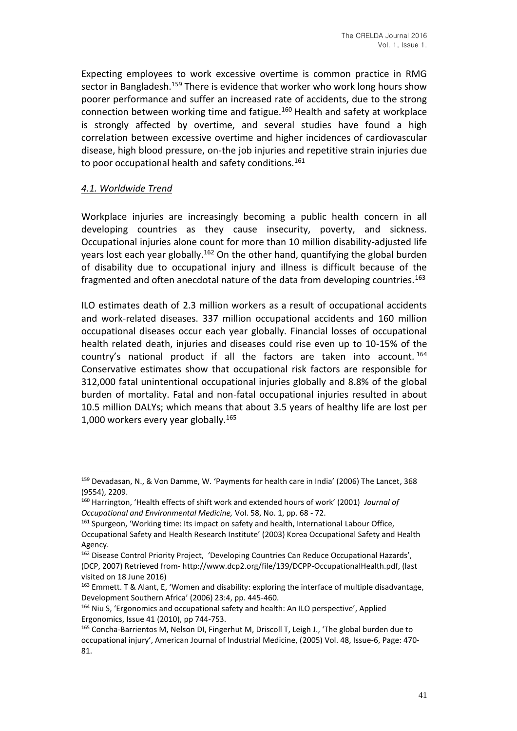Expecting employees to work excessive overtime is common practice in RMG sector in Bangladesh.<sup>159</sup> There is evidence that worker who work long hours show poorer performance and suffer an increased rate of accidents, due to the strong connection between working time and fatigue.<sup>160</sup> Health and safety at workplace is strongly affected by overtime, and several studies have found a high correlation between excessive overtime and higher incidences of cardiovascular disease, high blood pressure, on-the job injuries and repetitive strain injuries due to poor occupational health and safety conditions.<sup>161</sup>

# *4.1. Worldwide Trend*

Workplace injuries are increasingly becoming a public health concern in all developing countries as they cause insecurity, poverty, and sickness. Occupational injuries alone count for more than 10 million disability-adjusted life years lost each year globally.<sup>162</sup> On the other hand, quantifying the global burden of disability due to occupational injury and illness is difficult because of the fragmented and often anecdotal nature of the data from developing countries.<sup>163</sup>

ILO estimates death of 2.3 million workers as a result of occupational accidents and work-related diseases. 337 million occupational accidents and 160 million occupational diseases occur each year globally. Financial losses of occupational health related death, injuries and diseases could rise even up to 10-15% of the country's national product if all the factors are taken into account. <sup>164</sup> Conservative estimates show that occupational risk factors are responsible for 312,000 fatal unintentional occupational injuries globally and 8.8% of the global burden of mortality. Fatal and non-fatal occupational injuries resulted in about 10.5 million DALYs; which means that about 3.5 years of healthy life are lost per 1,000 workers every year globally.<sup>165</sup>

<sup>159</sup> Devadasan, N., & Von Damme, W. 'Payments for health care in India' (2006) The Lancet, 368 (9554), 2209.

<sup>160</sup> Harrington, 'Health effects of shift work and extended hours of work' (2001) *Journal of Occupational and Environmental Medicine,* Vol. 58, No. 1, pp. 68 - 72.

<sup>&</sup>lt;sup>161</sup> Spurgeon, 'Working time: Its impact on safety and health, International Labour Office, Occupational Safety and Health Research Institute' (2003) Korea Occupational Safety and Health Agency.

<sup>162</sup> Disease Control Priority Project, 'Developing Countries Can Reduce Occupational Hazards', (DCP, 2007) Retrieved from- http://www.dcp2.org/file/139/DCPP-OccupationalHealth.pdf, (last visited on 18 June 2016)

<sup>163</sup> Emmett. T & Alant, E, 'Women and disability: exploring the interface of multiple disadvantage, Development Southern Africa' (2006) 23:4, pp. 445-460.

<sup>&</sup>lt;sup>164</sup> Niu S, 'Ergonomics and occupational safety and health: An ILO perspective', Applied Ergonomics, Issue 41 (2010), pp 744-753.

<sup>165</sup> Concha-Barrientos M, Nelson DI, Fingerhut M, Driscoll T, Leigh J., 'The global burden due to occupational injury', American Journal of Industrial Medicine, (2005) Vol. 48, Issue-6, Page: 470- 81.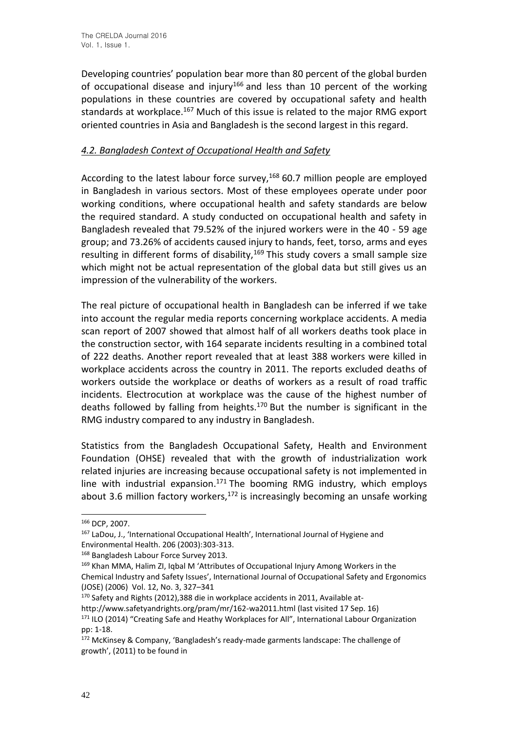Developing countries' population bear more than 80 percent of the global burden of occupational disease and injury<sup>166</sup> and less than 10 percent of the working populations in these countries are covered by occupational safety and health standards at workplace.<sup>167</sup> Much of this issue is related to the major RMG export oriented countries in Asia and Bangladesh is the second largest in this regard.

# *4.2. Bangladesh Context of Occupational Health and Safety*

According to the latest labour force survey,  $168$  60.7 million people are employed in Bangladesh in various sectors. Most of these employees operate under poor working conditions, where occupational health and safety standards are below the required standard. A study conducted on occupational health and safety in Bangladesh revealed that 79.52% of the injured workers were in the 40 - 59 age group; and 73.26% of accidents caused injury to hands, feet, torso, arms and eyes resulting in different forms of disability,  $169$  This study covers a small sample size which might not be actual representation of the global data but still gives us an impression of the vulnerability of the workers.

The real picture of occupational health in Bangladesh can be inferred if we take into account the regular media reports concerning workplace accidents. A media scan report of 2007 showed that almost half of all workers deaths took place in the construction sector, with 164 separate incidents resulting in a combined total of 222 deaths. Another report revealed that at least 388 workers were killed in workplace accidents across the country in 2011. The reports excluded deaths of workers outside the workplace or deaths of workers as a result of road traffic incidents. Electrocution at workplace was the cause of the highest number of deaths followed by falling from heights.<sup>170</sup> But the number is significant in the RMG industry compared to any industry in Bangladesh.

Statistics from the Bangladesh Occupational Safety, Health and Environment Foundation (OHSE) revealed that with the growth of industrialization work related injuries are increasing because occupational safety is not implemented in line with industrial expansion.<sup>171</sup> The booming RMG industry, which employs about 3.6 million factory workers, $172$  is increasingly becoming an unsafe working

<sup>166</sup> DCP, 2007.

<sup>&</sup>lt;sup>167</sup> LaDou, J., 'International Occupational Health', International Journal of Hygiene and Environmental Health. 206 (2003):303-313.

<sup>168</sup> Bangladesh Labour Force Survey 2013.

<sup>&</sup>lt;sup>169</sup> Khan MMA, Halim ZI, Igbal M 'Attributes of Occupational Injury Among Workers in the Chemical Industry and Safety Issues', International Journal of Occupational Safety and Ergonomics (JOSE) (2006) Vol. 12, No. 3, 327–341

<sup>170</sup> Safety and Rights (2012),388 die in workplace accidents in 2011, Available athttp://www.safetyandrights.org/pram/mr/162-wa2011.html (last visited 17 Sep. 16)

<sup>171</sup> ILO (2014) "Creating Safe and Heathy Workplaces for All", International Labour Organization pp: 1-18.

<sup>172</sup> McKinsey & Company, 'Bangladesh's ready-made garments landscape: The challenge of growth', (2011) to be found in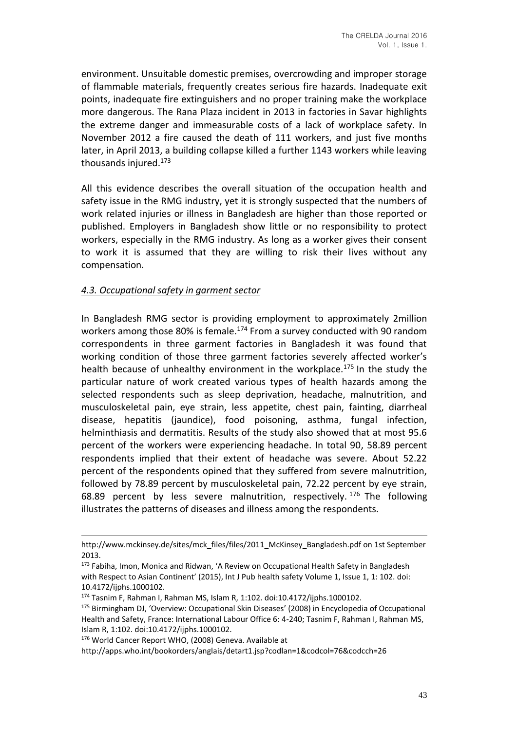environment. Unsuitable domestic premises, overcrowding and improper storage of flammable materials, frequently creates serious fire hazards. Inadequate exit points, inadequate fire extinguishers and no proper training make the workplace more dangerous. The Rana Plaza incident in 2013 in factories in Savar highlights the extreme danger and immeasurable costs of a lack of workplace safety. In November 2012 a fire caused the death of 111 workers, and just five months later, in April 2013, a building collapse killed a further 1143 workers while leaving thousands injured. $173$ 

All this evidence describes the overall situation of the occupation health and safety issue in the RMG industry, yet it is strongly suspected that the numbers of work related injuries or illness in Bangladesh are higher than those reported or published. Employers in Bangladesh show little or no responsibility to protect workers, especially in the RMG industry. As long as a worker gives their consent to work it is assumed that they are willing to risk their lives without any compensation.

# *4.3. Occupational safety in garment sector*

In Bangladesh RMG sector is providing employment to approximately 2million workers among those 80% is female.<sup>174</sup> From a survey conducted with 90 random correspondents in three garment factories in Bangladesh it was found that working condition of those three garment factories severely affected worker's health because of unhealthy environment in the workplace.<sup>175</sup> In the study the particular nature of work created various types of health hazards among the selected respondents such as sleep deprivation, headache, malnutrition, and musculoskeletal pain, eye strain, less appetite, chest pain, fainting, diarrheal disease, hepatitis (jaundice), food poisoning, asthma, fungal infection, helminthiasis and dermatitis. Results of the study also showed that at most 95.6 percent of the workers were experiencing headache. In total 90, 58.89 percent respondents implied that their extent of headache was severe. About 52.22 percent of the respondents opined that they suffered from severe malnutrition, followed by 78.89 percent by musculoskeletal pain, 72.22 percent by eye strain, 68.89 percent by less severe malnutrition, respectively.  $176$  The following illustrates the patterns of diseases and illness among the respondents.

http://www.mckinsey.de/sites/mck\_files/files/2011\_McKinsey\_Bangladesh.pdf on 1st September 2013.

<sup>&</sup>lt;sup>173</sup> Fabiha, Imon, Monica and Ridwan, 'A Review on Occupational Health Safety in Bangladesh with Respect to Asian Continent' (2015), Int J Pub health safety Volume 1, Issue 1, 1: 102. doi: 10.4172/ijphs.1000102.

<sup>174</sup> Tasnim F, Rahman I, Rahman MS, Islam R, 1:102. doi:10.4172/ijphs.1000102.

<sup>175</sup> Birmingham DJ, 'Overview: Occupational Skin Diseases' (2008) in Encyclopedia of Occupational Health and Safety, France: International Labour Office 6: 4-240; Tasnim F, Rahman I, Rahman MS, Islam R, 1:102. doi:10.4172/ijphs.1000102.

<sup>176</sup> World Cancer Report WHO, (2008) Geneva. Available at

http://apps.who.int/bookorders/anglais/detart1.jsp?codlan=1&codcol=76&codcch=26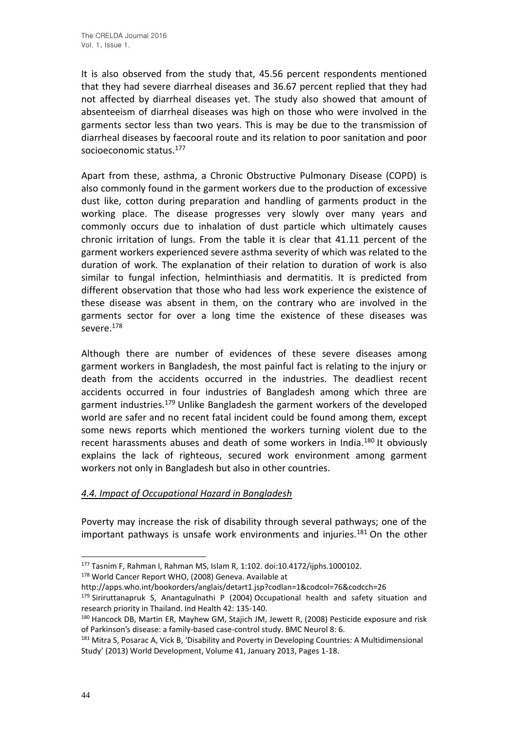It is also observed from the study that, 45.56 percent respondents mentioned that they had severe diarrheal diseases and 36.67 percent replied that they had not affected by diarrheal diseases yet. The study also showed that amount of absenteeism of diarrheal diseases was high on those who were involved in the garments sector less than two years. This is may be due to the transmission of diarrheal diseases by faecooral route and its relation to poor sanitation and poor socioeconomic status.<sup>177</sup>

Apart from these, asthma, a Chronic Obstructive Pulmonary Disease (COPD) is also commonly found in the garment workers due to the production of excessive dust like, cotton during preparation and handling of garments product in the working place. The disease progresses very slowly over many years and commonly occurs due to inhalation of dust particle which ultimately causes chronic irritation of lungs. From the table it is clear that 41.11 percent of the garment workers experienced severe asthma severity of which was related to the duration of work. The explanation of their relation to duration of work is also similar to fungal infection, helminthiasis and dermatitis. It is predicted from different observation that those who had less work experience the existence of these disease was absent in them, on the contrary who are involved in the garments sector for over a long time the existence of these diseases was severe.<sup>178</sup>

Although there are number of evidences of these severe diseases among garment workers in Bangladesh, the most painful fact is relating to the injury or death from the accidents occurred in the industries. The deadliest recent accidents occurred in four industries of Bangladesh among which three are garment industries.<sup>179</sup> Unlike Bangladesh the garment workers of the developed world are safer and no recent fatal incident could be found among them, except some news reports which mentioned the workers turning violent due to the recent harassments abuses and death of some workers in India.<sup>180</sup> It obviously explains the lack of righteous, secured work environment among garment workers not only in Bangladesh but also in other countries.

## *4.4. Impact of Occupational Hazard in Bangladesh*

Poverty may increase the risk of disability through several pathways; one of the important pathways is unsafe work environments and injuries.<sup>181</sup> On the other

<sup>177</sup> Tasnim F, Rahman I, Rahman MS, Islam R, 1:102. doi:10.4172/ijphs.1000102.

<sup>178</sup> World Cancer Report WHO, (2008) Geneva. Available at

http://apps.who.int/bookorders/anglais/detart1.jsp?codlan=1&codcol=76&codcch=26

<sup>179</sup> Siriruttanapruk S, Anantagulnathi P (2004) Occupational health and safety situation and research priority in Thailand. Ind Health 42: 135-140.

<sup>180</sup> Hancock DB, Martin ER, Mayhew GM, Stajich JM, Jewett R, (2008) Pesticide exposure and risk of Parkinson's disease: a family-based case-control study. BMC Neurol 8: 6.

<sup>&</sup>lt;sup>181</sup> Mitra S, Posarac A, Vick B, 'Disability and Poverty in Developing Countries: A Multidimensional Study' (2013) World Development, Volume 41, January 2013, Pages 1-18.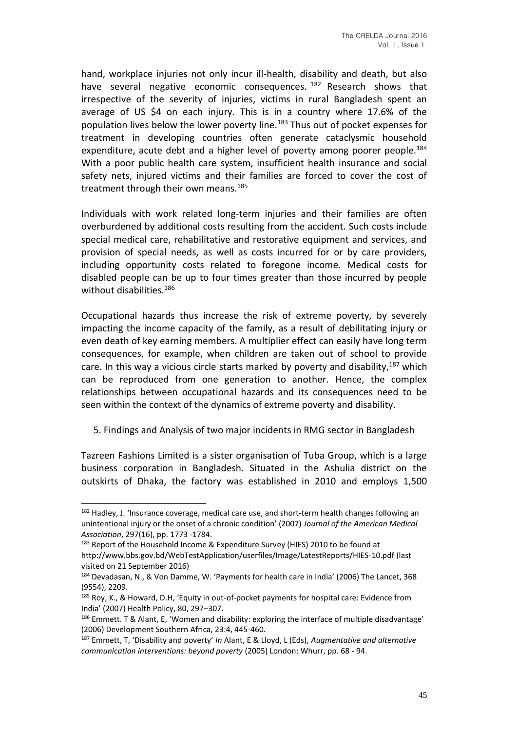hand, workplace injuries not only incur ill-health, disability and death, but also have several negative economic consequences.<sup>182</sup> Research shows that irrespective of the severity of injuries, victims in rural Bangladesh spent an average of US \$4 on each injury. This is in a country where 17.6% of the population lives below the lower poverty line.<sup>183</sup> Thus out of pocket expenses for treatment in developing countries often generate cataclysmic household expenditure, acute debt and a higher level of poverty among poorer people.<sup>184</sup> With a poor public health care system, insufficient health insurance and social safety nets, injured victims and their families are forced to cover the cost of treatment through their own means.<sup>185</sup>

Individuals with work related long-term injuries and their families are often overburdened by additional costs resulting from the accident. Such costs include special medical care, rehabilitative and restorative equipment and services, and provision of special needs, as well as costs incurred for or by care providers, including opportunity costs related to foregone income. Medical costs for disabled people can be up to four times greater than those incurred by people without disabilities.<sup>186</sup>

Occupational hazards thus increase the risk of extreme poverty, by severely impacting the income capacity of the family, as a result of debilitating injury or even death of key earning members. A multiplier effect can easily have long term consequences, for example, when children are taken out of school to provide care. In this way a vicious circle starts marked by poverty and disability,<sup>187</sup> which can be reproduced from one generation to another. Hence, the complex relationships between occupational hazards and its consequences need to be seen within the context of the dynamics of extreme poverty and disability.

#### 5. Findings and Analysis of two major incidents in RMG sector in Bangladesh

Tazreen Fashions Limited is a sister organisation of Tuba Group, which is a large business corporation in Bangladesh. Situated in the Ashulia district on the outskirts of Dhaka, the factory was established in 2010 and employs 1,500

<sup>&</sup>lt;sup>182</sup> Hadley, J. 'Insurance coverage, medical care use, and short-term health changes following an unintentional injury or the onset of a chronic condition' (2007) *Journal of the American Medical Association*, 297(16), pp. 1773 -1784.

<sup>&</sup>lt;sup>183</sup> Report of the Household Income & Expenditure Survey (HIES) 2010 to be found at http://www.bbs.gov.bd/WebTestApplication/userfiles/Image/LatestReports/HIES-10.pdf (last visited on 21 September 2016)

<sup>184</sup> Devadasan, N., & Von Damme, W. 'Payments for health care in India' (2006) The Lancet, 368 (9554), 2209.

<sup>185</sup> Roy, K., & Howard, D.H, 'Equity in out-of-pocket payments for hospital care: Evidence from India' (2007) Health Policy, 80, 297–307.

<sup>186</sup> Emmett. T & Alant, E, 'Women and disability: exploring the interface of multiple disadvantage' (2006) Development Southern Africa, 23:4, 445-460.

<sup>187</sup> Emmett, T, 'Disability and poverty' *In* Alant, E & Lloyd, L (Eds), *Augmentative and alternative communication interventions: beyond poverty* (2005) London: Whurr, pp. 68 - 94.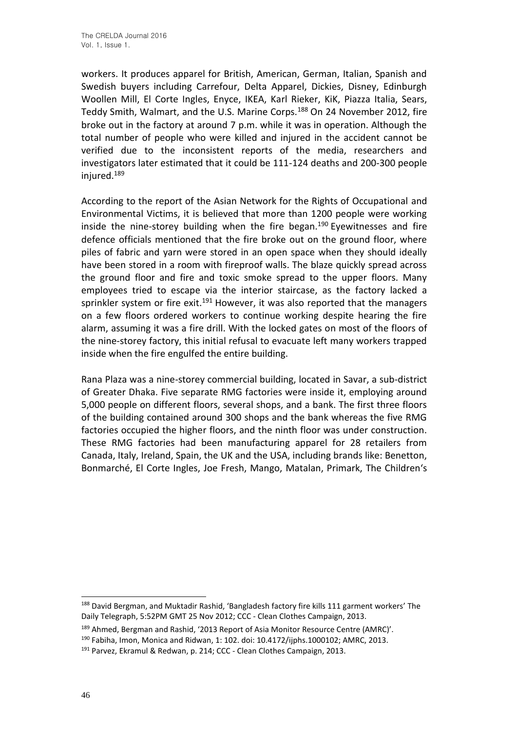workers. It produces apparel for British, American, German, Italian, Spanish and Swedish buyers including Carrefour, Delta Apparel, Dickies, Disney, Edinburgh Woollen Mill, El Corte Ingles, Enyce, IKEA, Karl Rieker, KiK, Piazza Italia, Sears, Teddy Smith, Walmart, and the U.S. Marine Corps.<sup>188</sup> On 24 November 2012, fire broke out in the factory at around 7 p.m. while it was in operation. Although the total number of people who were killed and injured in the accident cannot be verified due to the inconsistent reports of the media, researchers and investigators later estimated that it could be 111-124 deaths and 200-300 people injured.<sup>189</sup>

According to the report of the Asian Network for the Rights of Occupational and Environmental Victims, it is believed that more than 1200 people were working inside the nine-storey building when the fire began. $190$  Eyewitnesses and fire defence officials mentioned that the fire broke out on the ground floor, where piles of fabric and yarn were stored in an open space when they should ideally have been stored in a room with fireproof walls. The blaze quickly spread across the ground floor and fire and toxic smoke spread to the upper floors. Many employees tried to escape via the interior staircase, as the factory lacked a sprinkler system or fire exit.<sup>191</sup> However, it was also reported that the managers on a few floors ordered workers to continue working despite hearing the fire alarm, assuming it was a fire drill. With the locked gates on most of the floors of the nine-storey factory, this initial refusal to evacuate left many workers trapped inside when the fire engulfed the entire building.

Rana Plaza was a nine-storey commercial building, located in Savar, a sub-district of Greater Dhaka. Five separate RMG factories were inside it, employing around 5,000 people on different floors, several shops, and a bank. The first three floors of the building contained around 300 shops and the bank whereas the five RMG factories occupied the higher floors, and the ninth floor was under construction. These RMG factories had been manufacturing apparel for 28 retailers from Canada, Italy, Ireland, Spain, the UK and the USA, including brands like: Benetton, Bonmarché, El Corte Ingles, Joe Fresh, Mango, Matalan, Primark, The Children's

<sup>188</sup> David Bergman, and Muktadir Rashid, 'Bangladesh factory fire kills 111 garment workers' The Daily Telegraph, 5:52PM GMT 25 Nov 2012; CCC - Clean Clothes Campaign, 2013.

<sup>189</sup> Ahmed, Bergman and Rashid, '2013 Report of Asia Monitor Resource Centre (AMRC)'.

<sup>190</sup> Fabiha, Imon, Monica and Ridwan, 1: 102. doi: 10.4172/ijphs.1000102; AMRC, 2013.

<sup>191</sup> Parvez, Ekramul & Redwan, p. 214; CCC - Clean Clothes Campaign, 2013.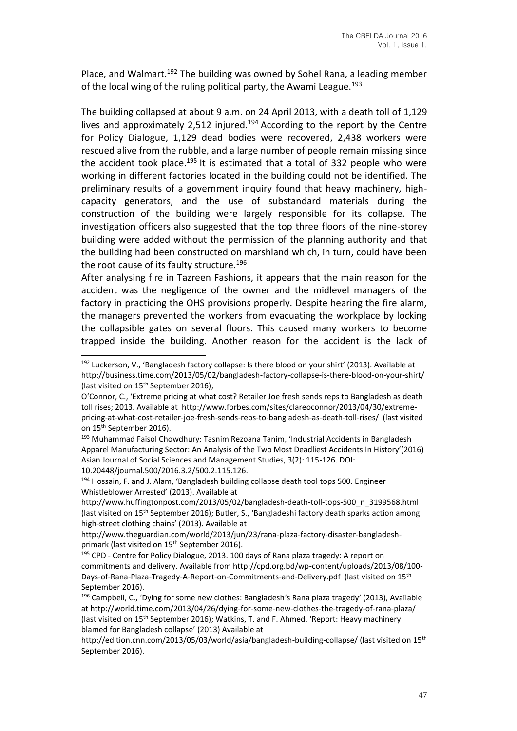Place, and Walmart.<sup>192</sup> The building was owned by Sohel Rana, a leading member of the local wing of the ruling political party, the Awami League.<sup>193</sup>

The building collapsed at about 9 a.m. on 24 April 2013, with a death toll of 1,129 lives and approximately 2,512 injured.<sup>194</sup> According to the report by the Centre for Policy Dialogue, 1,129 dead bodies were recovered, 2,438 workers were rescued alive from the rubble, and a large number of people remain missing since the accident took place.<sup>195</sup> It is estimated that a total of 332 people who were working in different factories located in the building could not be identified. The preliminary results of a government inquiry found that heavy machinery, highcapacity generators, and the use of substandard materials during the construction of the building were largely responsible for its collapse. The investigation officers also suggested that the top three floors of the nine-storey building were added without the permission of the planning authority and that the building had been constructed on marshland which, in turn, could have been the root cause of its faulty structure.<sup>196</sup>

After analysing fire in Tazreen Fashions, it appears that the main reason for the accident was the negligence of the owner and the midlevel managers of the factory in practicing the OHS provisions properly. Despite hearing the fire alarm, the managers prevented the workers from evacuating the workplace by locking the collapsible gates on several floors. This caused many workers to become trapped inside the building. Another reason for the accident is the lack of

<sup>194</sup> Hossain, F. and J. Alam, 'Bangladesh building collapse death tool tops 500. Engineer Whistleblower Arrested' (2013). Available at

http://www.huffingtonpost.com/2013/05/02/bangladesh-death-toll-tops-500\_n\_3199568.html (last visited on 15th September 2016); Butler, S., 'Bangladeshi factory death sparks action among high-street clothing chains' (2013). Available at

http://www.theguardian.com/world/2013/jun/23/rana-plaza-factory-disaster-bangladeshprimark (last visited on 15<sup>th</sup> September 2016).

<sup>192</sup> Luckerson, V., 'Bangladesh factory collapse: Is there blood on your shirt' (2013). Available at http://business.time.com/2013/05/02/bangladesh-factory-collapse-is-there-blood-on-your-shirt/ (last visited on 15<sup>th</sup> September 2016);

O'Connor, C., 'Extreme pricing at what cost? Retailer Joe fresh sends reps to Bangladesh as death toll rises; 2013. Available at http://www.forbes.com/sites/clareoconnor/2013/04/30/extremepricing-at-what-cost-retailer-joe-fresh-sends-reps-to-bangladesh-as-death-toll-rises/ (last visited on 15<sup>th</sup> September 2016).

<sup>&</sup>lt;sup>193</sup> Muhammad Faisol Chowdhury; Tasnim Rezoana Tanim, 'Industrial Accidents in Bangladesh Apparel Manufacturing Sector: An Analysis of the Two Most Deadliest Accidents In History'(2016) Asian Journal of Social Sciences and Management Studies, 3(2): 115-126. DOI: 10.20448/journal.500/2016.3.2/500.2.115.126.

<sup>&</sup>lt;sup>195</sup> CPD - Centre for Policy Dialogue, 2013. 100 days of Rana plaza tragedy: A report on commitments and delivery. Available from http://cpd.org.bd/wp-content/uploads/2013/08/100- Days-of-Rana-Plaza-Tragedy-A-Report-on-Commitments-and-Delivery.pdf (last visited on 15th September 2016).

<sup>196</sup> Campbell, C., 'Dying for some new clothes: Bangladesh's Rana plaza tragedy' (2013), Available at http://world.time.com/2013/04/26/dying-for-some-new-clothes-the-tragedy-of-rana-plaza/ (last visited on 15th September 2016); Watkins, T. and F. Ahmed, 'Report: Heavy machinery blamed for Bangladesh collapse' (2013) Available at

http://edition.cnn.com/2013/05/03/world/asia/bangladesh-building-collapse/ (last visited on 15th September 2016).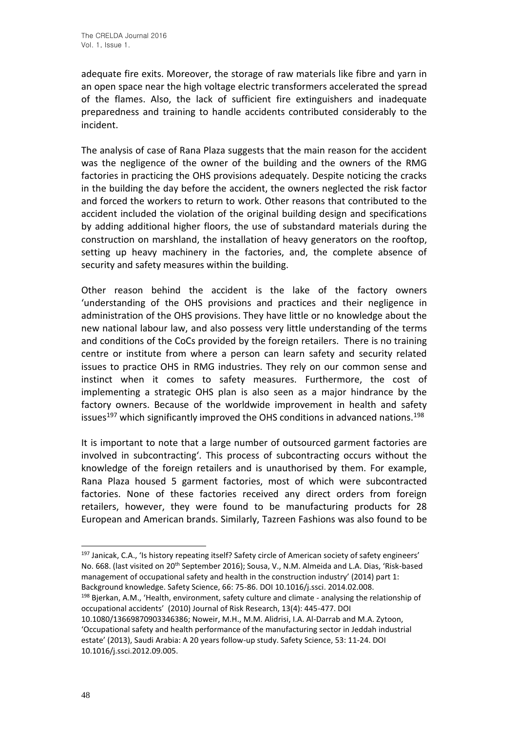adequate fire exits. Moreover, the storage of raw materials like fibre and yarn in an open space near the high voltage electric transformers accelerated the spread of the flames. Also, the lack of sufficient fire extinguishers and inadequate preparedness and training to handle accidents contributed considerably to the incident.

The analysis of case of Rana Plaza suggests that the main reason for the accident was the negligence of the owner of the building and the owners of the RMG factories in practicing the OHS provisions adequately. Despite noticing the cracks in the building the day before the accident, the owners neglected the risk factor and forced the workers to return to work. Other reasons that contributed to the accident included the violation of the original building design and specifications by adding additional higher floors, the use of substandard materials during the construction on marshland, the installation of heavy generators on the rooftop, setting up heavy machinery in the factories, and, the complete absence of security and safety measures within the building.

Other reason behind the accident is the lake of the factory owners 'understanding of the OHS provisions and practices and their negligence in administration of the OHS provisions. They have little or no knowledge about the new national labour law, and also possess very little understanding of the terms and conditions of the CoCs provided by the foreign retailers. There is no training centre or institute from where a person can learn safety and security related issues to practice OHS in RMG industries. They rely on our common sense and instinct when it comes to safety measures. Furthermore, the cost of implementing a strategic OHS plan is also seen as a major hindrance by the factory owners. Because of the worldwide improvement in health and safety issues<sup>197</sup> which significantly improved the OHS conditions in advanced nations.<sup>198</sup>

It is important to note that a large number of outsourced garment factories are involved in subcontracting'. This process of subcontracting occurs without the knowledge of the foreign retailers and is unauthorised by them. For example, Rana Plaza housed 5 garment factories, most of which were subcontracted factories. None of these factories received any direct orders from foreign retailers, however, they were found to be manufacturing products for 28 European and American brands. Similarly, Tazreen Fashions was also found to be

198 Bjerkan, A.M., 'Health, environment, safety culture and climate - analysing the relationship of occupational accidents' (2010) Journal of Risk Research, 13(4): 445-477. DOI

10.1080/13669870903346386; Noweir, M.H., M.M. Alidrisi, I.A. Al-Darrab and M.A. Zytoon, 'Occupational safety and health performance of the manufacturing sector in Jeddah industrial estate' (2013), Saudi Arabia: A 20 years follow-up study. Safety Science, 53: 11-24. DOI 10.1016/j.ssci.2012.09.005.

<sup>197</sup> Janicak, C.A., 'Is history repeating itself? Safety circle of American society of safety engineers' No. 668. (last visited on 20<sup>th</sup> September 2016); Sousa, V., N.M. Almeida and L.A. Dias, 'Risk-based management of occupational safety and health in the construction industry' (2014) part 1: Background knowledge. Safety Science, 66: 75-86. DOI 10.1016/j.ssci. 2014.02.008.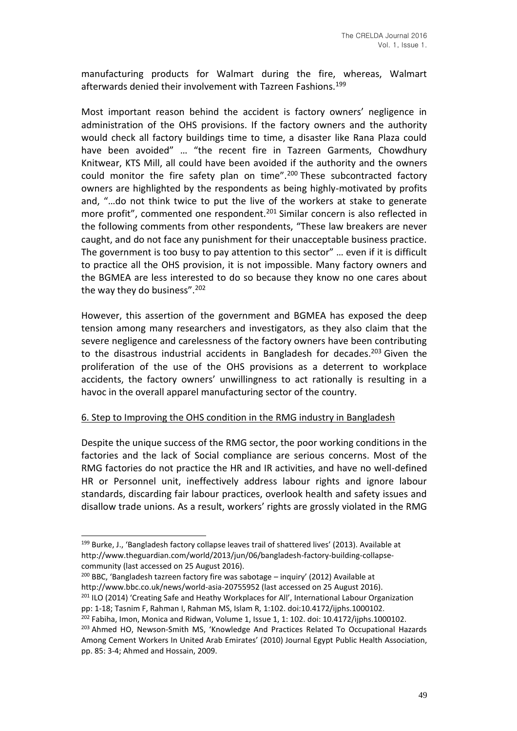manufacturing products for Walmart during the fire, whereas, Walmart afterwards denied their involvement with Tazreen Fashions.<sup>199</sup>

Most important reason behind the accident is factory owners' negligence in administration of the OHS provisions. If the factory owners and the authority would check all factory buildings time to time, a disaster like Rana Plaza could have been avoided" … "the recent fire in Tazreen Garments, Chowdhury Knitwear, KTS Mill, all could have been avoided if the authority and the owners could monitor the fire safety plan on time". $200$  These subcontracted factory owners are highlighted by the respondents as being highly-motivated by profits and, "…do not think twice to put the live of the workers at stake to generate more profit", commented one respondent.<sup>201</sup> Similar concern is also reflected in the following comments from other respondents, "These law breakers are never caught, and do not face any punishment for their unacceptable business practice. The government is too busy to pay attention to this sector" … even if it is difficult to practice all the OHS provision, it is not impossible. Many factory owners and the BGMEA are less interested to do so because they know no one cares about the way they do business".<sup>202</sup>

However, this assertion of the government and BGMEA has exposed the deep tension among many researchers and investigators, as they also claim that the severe negligence and carelessness of the factory owners have been contributing to the disastrous industrial accidents in Bangladesh for decades. $203$  Given the proliferation of the use of the OHS provisions as a deterrent to workplace accidents, the factory owners' unwillingness to act rationally is resulting in a havoc in the overall apparel manufacturing sector of the country.

#### 6. Step to Improving the OHS condition in the RMG industry in Bangladesh

Despite the unique success of the RMG sector, the poor working conditions in the factories and the lack of Social compliance are serious concerns. Most of the RMG factories do not practice the HR and IR activities, and have no well-defined HR or Personnel unit, ineffectively address labour rights and ignore labour standards, discarding fair labour practices, overlook health and safety issues and disallow trade unions. As a result, workers' rights are grossly violated in the RMG

<sup>199</sup> Burke, J., 'Bangladesh factory collapse leaves trail of shattered lives' (2013). Available at http://www.theguardian.com/world/2013/jun/06/bangladesh-factory-building-collapsecommunity (last accessed on 25 August 2016).

<sup>200</sup> BBC, 'Bangladesh tazreen factory fire was sabotage – inquiry' (2012) Available at http://www.bbc.co.uk/news/world-asia-20755952 (last accessed on 25 August 2016). <sup>201</sup> ILO (2014) 'Creating Safe and Heathy Workplaces for All', International Labour Organization

pp: 1-18; Tasnim F, Rahman I, Rahman MS, Islam R, 1:102. doi:10.4172/ijphs.1000102.

 $202$  Fabiha, Imon, Monica and Ridwan, Volume 1, Issue 1, 1: 102. doi: 10.4172/ijphs.1000102.

<sup>&</sup>lt;sup>203</sup> Ahmed HO, Newson-Smith MS, 'Knowledge And Practices Related To Occupational Hazards Among Cement Workers In United Arab Emirates' (2010) Journal Egypt Public Health Association, pp. 85: 3-4; Ahmed and Hossain, 2009.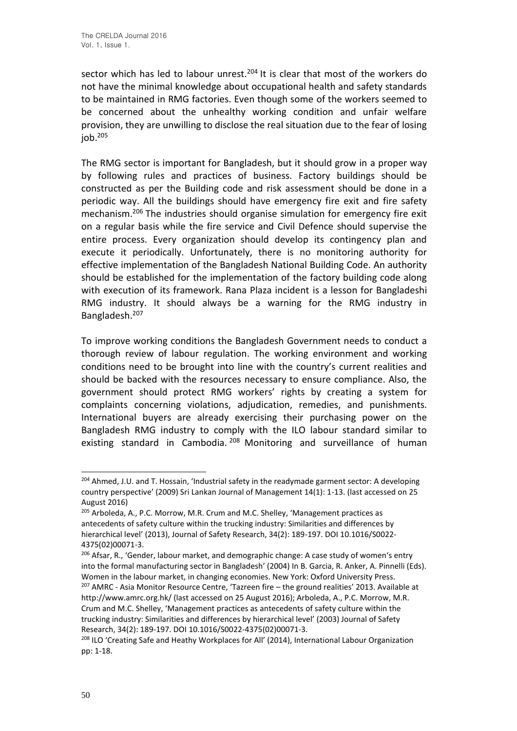sector which has led to labour unrest.<sup>204</sup> It is clear that most of the workers do not have the minimal knowledge about occupational health and safety standards to be maintained in RMG factories. Even though some of the workers seemed to be concerned about the unhealthy working condition and unfair welfare provision, they are unwilling to disclose the real situation due to the fear of losing  $job.<sup>205</sup>$ 

The RMG sector is important for Bangladesh, but it should grow in a proper way by following rules and practices of business. Factory buildings should be constructed as per the Building code and risk assessment should be done in a periodic way. All the buildings should have emergency fire exit and fire safety mechanism.<sup>206</sup> The industries should organise simulation for emergency fire exit on a regular basis while the fire service and Civil Defence should supervise the entire process. Every organization should develop its contingency plan and execute it periodically. Unfortunately, there is no monitoring authority for effective implementation of the Bangladesh National Building Code. An authority should be established for the implementation of the factory building code along with execution of its framework. Rana Plaza incident is a lesson for Bangladeshi RMG industry. It should always be a warning for the RMG industry in Bangladesh.<sup>207</sup>

To improve working conditions the Bangladesh Government needs to conduct a thorough review of labour regulation. The working environment and working conditions need to be brought into line with the country's current realities and should be backed with the resources necessary to ensure compliance. Also, the government should protect RMG workers' rights by creating a system for complaints concerning violations, adjudication, remedies, and punishments. International buyers are already exercising their purchasing power on the Bangladesh RMG industry to comply with the ILO labour standard similar to existing standard in Cambodia. <sup>208</sup> Monitoring and surveillance of human

<sup>204</sup> Ahmed, J.U. and T. Hossain, 'Industrial safety in the readymade garment sector: A developing country perspective' (2009) Sri Lankan Journal of Management 14(1): 1-13. (last accessed on 25 August 2016)

<sup>205</sup> Arboleda, A., P.C. Morrow, M.R. Crum and M.C. Shelley, 'Management practices as antecedents of safety culture within the trucking industry: Similarities and differences by hierarchical level' (2013), Journal of Safety Research, 34(2): 189-197. DOI 10.1016/S0022- 4375(02)00071-3.

<sup>&</sup>lt;sup>206</sup> Afsar, R., 'Gender, labour market, and demographic change: A case study of women's entry into the formal manufacturing sector in Bangladesh' (2004) In B. Garcia, R. Anker, A. Pinnelli (Eds). Women in the labour market, in changing economies. New York: Oxford University Press. <sup>207</sup> AMRC - Asia Monitor Resource Centre, 'Tazreen fire – the ground realities' 2013. Available at http://www.amrc.org.hk/ (last accessed on 25 August 2016); Arboleda, A., P.C. Morrow, M.R. Crum and M.C. Shelley, 'Management practices as antecedents of safety culture within the trucking industry: Similarities and differences by hierarchical level' (2003) Journal of Safety Research, 34(2): 189-197. DOI 10.1016/S0022-4375(02)00071-3.

<sup>&</sup>lt;sup>208</sup> ILO 'Creating Safe and Heathy Workplaces for All' (2014), International Labour Organization pp: 1-18.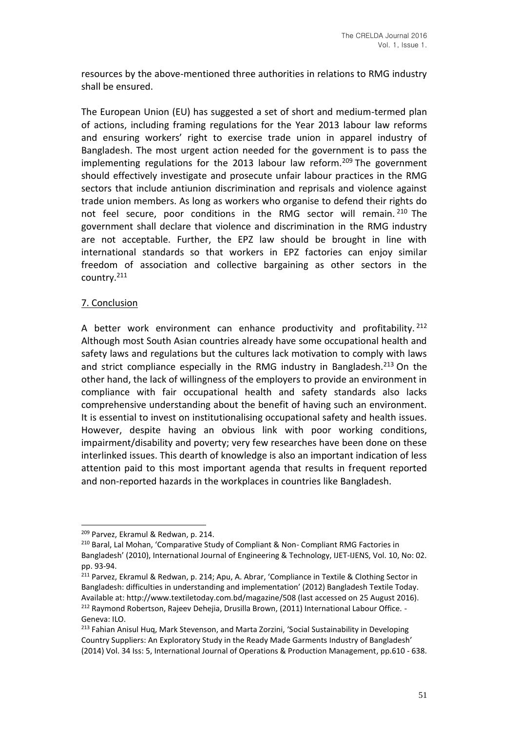resources by the above-mentioned three authorities in relations to RMG industry shall be ensured.

The European Union (EU) has suggested a set of short and medium-termed plan of actions, including framing regulations for the Year 2013 labour law reforms and ensuring workers' right to exercise trade union in apparel industry of Bangladesh. The most urgent action needed for the government is to pass the implementing regulations for the 2013 labour law reform.<sup>209</sup> The government should effectively investigate and prosecute unfair labour practices in the RMG sectors that include antiunion discrimination and reprisals and violence against trade union members. As long as workers who organise to defend their rights do not feel secure, poor conditions in the RMG sector will remain. <sup>210</sup> The government shall declare that violence and discrimination in the RMG industry are not acceptable. Further, the EPZ law should be brought in line with international standards so that workers in EPZ factories can enjoy similar freedom of association and collective bargaining as other sectors in the country.<sup>211</sup>

## 7. Conclusion

A better work environment can enhance productivity and profitability. <sup>212</sup> Although most South Asian countries already have some occupational health and safety laws and regulations but the cultures lack motivation to comply with laws and strict compliance especially in the RMG industry in Bangladesh.<sup>213</sup> On the other hand, the lack of willingness of the employers to provide an environment in compliance with fair occupational health and safety standards also lacks comprehensive understanding about the benefit of having such an environment. It is essential to invest on institutionalising occupational safety and health issues. However, despite having an obvious link with poor working conditions, impairment/disability and poverty; very few researches have been done on these interlinked issues. This dearth of knowledge is also an important indication of less attention paid to this most important agenda that results in frequent reported and non-reported hazards in the workplaces in countries like Bangladesh.

<sup>209</sup> Parvez, Ekramul & Redwan, p. 214.

<sup>210</sup> Baral, Lal Mohan, 'Comparative Study of Compliant & Non- Compliant RMG Factories in Bangladesh' (2010), International Journal of Engineering & Technology, IJET-IJENS, Vol. 10, No: 02. pp. 93-94.

<sup>211</sup> Parvez, Ekramul & Redwan, p. 214; Apu, A. Abrar, 'Compliance in Textile & Clothing Sector in Bangladesh: difficulties in understanding and implementation' (2012) Bangladesh Textile Today. Available at: http://www.textiletoday.com.bd/magazine/508 (last accessed on 25 August 2016). <sup>212</sup> Raymond Robertson, Rajeev Dehejia, Drusilla Brown, (2011) International Labour Office. -Geneva: ILO.

<sup>&</sup>lt;sup>213</sup> Fahian Anisul Huq, Mark Stevenson, and Marta Zorzini, 'Social Sustainability in Developing Country Suppliers: An Exploratory Study in the Ready Made Garments Industry of Bangladesh' (2014) Vol. 34 Iss: 5, International Journal of Operations & Production Management, pp.610 - 638.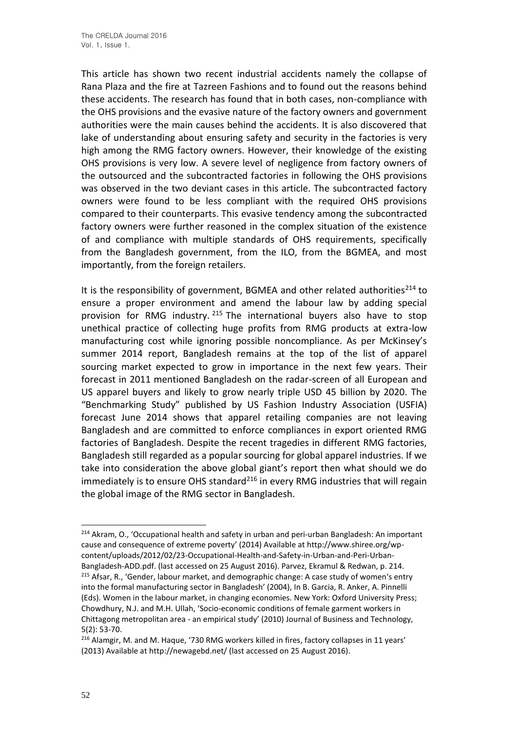This article has shown two recent industrial accidents namely the collapse of Rana Plaza and the fire at Tazreen Fashions and to found out the reasons behind these accidents. The research has found that in both cases, non-compliance with the OHS provisions and the evasive nature of the factory owners and government authorities were the main causes behind the accidents. It is also discovered that lake of understanding about ensuring safety and security in the factories is very high among the RMG factory owners. However, their knowledge of the existing OHS provisions is very low. A severe level of negligence from factory owners of the outsourced and the subcontracted factories in following the OHS provisions was observed in the two deviant cases in this article. The subcontracted factory owners were found to be less compliant with the required OHS provisions compared to their counterparts. This evasive tendency among the subcontracted factory owners were further reasoned in the complex situation of the existence of and compliance with multiple standards of OHS requirements, specifically from the Bangladesh government, from the ILO, from the BGMEA, and most importantly, from the foreign retailers.

It is the responsibility of government, BGMEA and other related authorities<sup>214</sup> to ensure a proper environment and amend the labour law by adding special provision for RMG industry. <sup>215</sup> The international buyers also have to stop unethical practice of collecting huge profits from RMG products at extra-low manufacturing cost while ignoring possible noncompliance. As per McKinsey's summer 2014 report, Bangladesh remains at the top of the list of apparel sourcing market expected to grow in importance in the next few years. Their forecast in 2011 mentioned Bangladesh on the radar-screen of all European and US apparel buyers and likely to grow nearly triple USD 45 billion by 2020. The "Benchmarking Study" published by US Fashion Industry Association (USFIA) forecast June 2014 shows that apparel retailing companies are not leaving Bangladesh and are committed to enforce compliances in export oriented RMG factories of Bangladesh. Despite the recent tragedies in different RMG factories, Bangladesh still regarded as a popular sourcing for global apparel industries. If we take into consideration the above global giant's report then what should we do immediately is to ensure OHS standard<sup>216</sup> in every RMG industries that will regain the global image of the RMG sector in Bangladesh.

<sup>&</sup>lt;sup>214</sup> Akram, O., 'Occupational health and safety in urban and peri-urban Bangladesh: An important cause and consequence of extreme poverty' (2014) Available at http://www.shiree.org/wpcontent/uploads/2012/02/23-Occupational-Health-and-Safety-in-Urban-and-Peri-Urban-Bangladesh-ADD.pdf. (last accessed on 25 August 2016). Parvez, Ekramul & Redwan, p. 214. <sup>215</sup> Afsar, R., 'Gender, labour market, and demographic change: A case study of women's entry into the formal manufacturing sector in Bangladesh' (2004), In B. Garcia, R. Anker, A. Pinnelli (Eds). Women in the labour market, in changing economies. New York: Oxford University Press; Chowdhury, N.J. and M.H. Ullah, 'Socio-economic conditions of female garment workers in Chittagong metropolitan area - an empirical study' (2010) Journal of Business and Technology, 5(2): 53-70.

<sup>&</sup>lt;sup>216</sup> Alamgir, M. and M. Haque, '730 RMG workers killed in fires, factory collapses in 11 years' (2013) Available at http://newagebd.net/ (last accessed on 25 August 2016).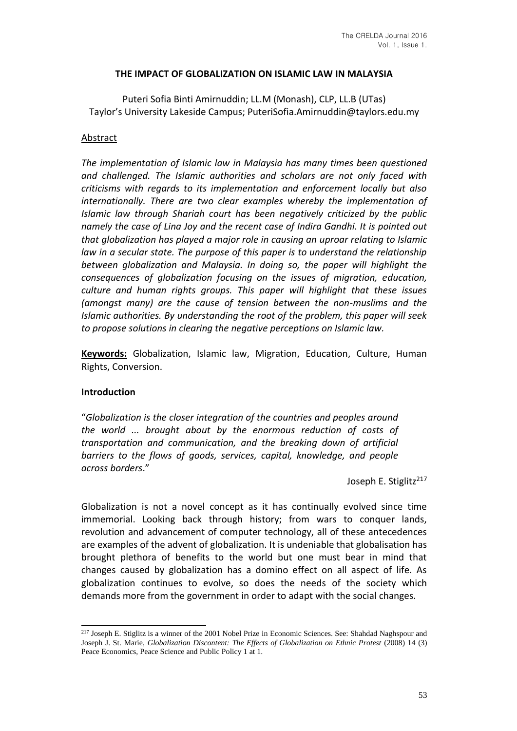## **THE IMPACT OF GLOBALIZATION ON ISLAMIC LAW IN MALAYSIA**

Puteri Sofia Binti Amirnuddin; LL.M (Monash), CLP, LL.B (UTas) Taylor's University Lakeside Campus; PuteriSofia.Amirnuddin@taylors.edu.my

#### Abstract

*The implementation of Islamic law in Malaysia has many times been questioned and challenged. The Islamic authorities and scholars are not only faced with criticisms with regards to its implementation and enforcement locally but also internationally. There are two clear examples whereby the implementation of Islamic law through Shariah court has been negatively criticized by the public namely the case of Lina Joy and the recent case of Indira Gandhi. It is pointed out that globalization has played a major role in causing an uproar relating to Islamic law in a secular state. The purpose of this paper is to understand the relationship between globalization and Malaysia. In doing so, the paper will highlight the consequences of globalization focusing on the issues of migration, education, culture and human rights groups. This paper will highlight that these issues (amongst many) are the cause of tension between the non-muslims and the Islamic authorities. By understanding the root of the problem, this paper will seek to propose solutions in clearing the negative perceptions on Islamic law.* 

**Keywords:** Globalization, Islamic law, Migration, Education, Culture, Human Rights, Conversion.

#### **Introduction**

"*Globalization is the closer integration of the countries and peoples around the world ... brought about by the enormous reduction of costs of transportation and communication, and the breaking down of artificial barriers to the flows of goods, services, capital, knowledge, and people across borders*."

Joseph E. Stiglitz<sup>217</sup>

Globalization is not a novel concept as it has continually evolved since time immemorial. Looking back through history; from wars to conquer lands, revolution and advancement of computer technology, all of these antecedences are examples of the advent of globalization. It is undeniable that globalisation has brought plethora of benefits to the world but one must bear in mind that changes caused by globalization has a domino effect on all aspect of life. As globalization continues to evolve, so does the needs of the society which demands more from the government in order to adapt with the social changes.

<sup>&</sup>lt;sup>217</sup> Joseph E. Stiglitz is a winner of the 2001 Nobel Prize in Economic Sciences. See: Shahdad Naghspour and Joseph J. St. Marie, *Globalization Discontent: The Effects of Globalization on Ethnic Protest* (2008) 14 (3) Peace Economics, Peace Science and Public Policy 1 at 1.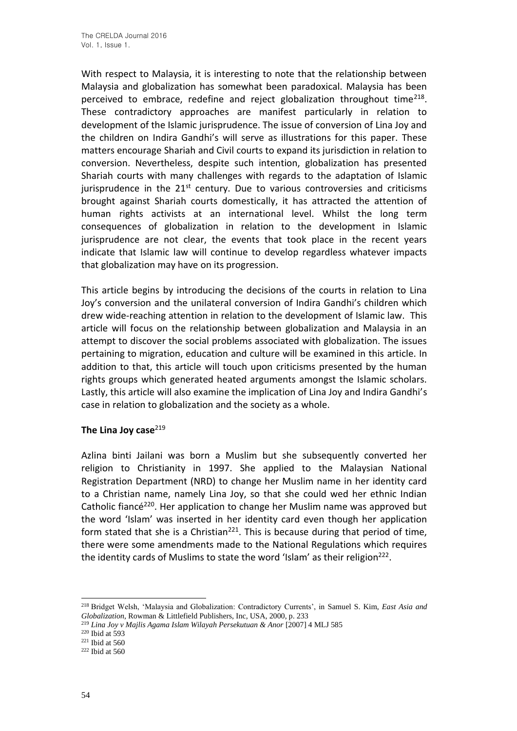With respect to Malaysia, it is interesting to note that the relationship between Malaysia and globalization has somewhat been paradoxical. Malaysia has been perceived to embrace, redefine and reject globalization throughout time<sup>218</sup>. These contradictory approaches are manifest particularly in relation to development of the Islamic jurisprudence. The issue of conversion of Lina Joy and the children on Indira Gandhi's will serve as illustrations for this paper. These matters encourage Shariah and Civil courts to expand its jurisdiction in relation to conversion. Nevertheless, despite such intention, globalization has presented Shariah courts with many challenges with regards to the adaptation of Islamic jurisprudence in the  $21^{st}$  century. Due to various controversies and criticisms brought against Shariah courts domestically, it has attracted the attention of human rights activists at an international level. Whilst the long term consequences of globalization in relation to the development in Islamic jurisprudence are not clear, the events that took place in the recent years indicate that Islamic law will continue to develop regardless whatever impacts that globalization may have on its progression.

This article begins by introducing the decisions of the courts in relation to Lina Joy's conversion and the unilateral conversion of Indira Gandhi's children which drew wide-reaching attention in relation to the development of Islamic law. This article will focus on the relationship between globalization and Malaysia in an attempt to discover the social problems associated with globalization. The issues pertaining to migration, education and culture will be examined in this article. In addition to that, this article will touch upon criticisms presented by the human rights groups which generated heated arguments amongst the Islamic scholars. Lastly, this article will also examine the implication of Lina Joy and Indira Gandhi's case in relation to globalization and the society as a whole.

## **The Lina Joy case**<sup>219</sup>

Azlina binti Jailani was born a Muslim but she subsequently converted her religion to Christianity in 1997. She applied to the Malaysian National Registration Department (NRD) to change her Muslim name in her identity card to a Christian name, namely Lina Joy, so that she could wed her ethnic Indian Catholic fiancé<sup>220</sup>. Her application to change her Muslim name was approved but the word 'Islam' was inserted in her identity card even though her application form stated that she is a Christian<sup>221</sup>. This is because during that period of time, there were some amendments made to the National Regulations which requires the identity cards of Muslims to state the word 'Islam' as their religion $^{222}$ .

<sup>218</sup> Bridget Welsh, 'Malaysia and Globalization: Contradictory Currents', in Samuel S. Kim, *East Asia and Globalization*, Rowman & Littlefield Publishers, Inc, USA, 2000, p. 233

<sup>&</sup>lt;sup>219</sup> Lina Joy v Majlis Agama Islam Wilayah Persekutuan & Anor [2007] 4 MLJ 585

<sup>220</sup> Ibid at 593

<sup>221</sup> Ibid at 560

<sup>222</sup> Ibid at 560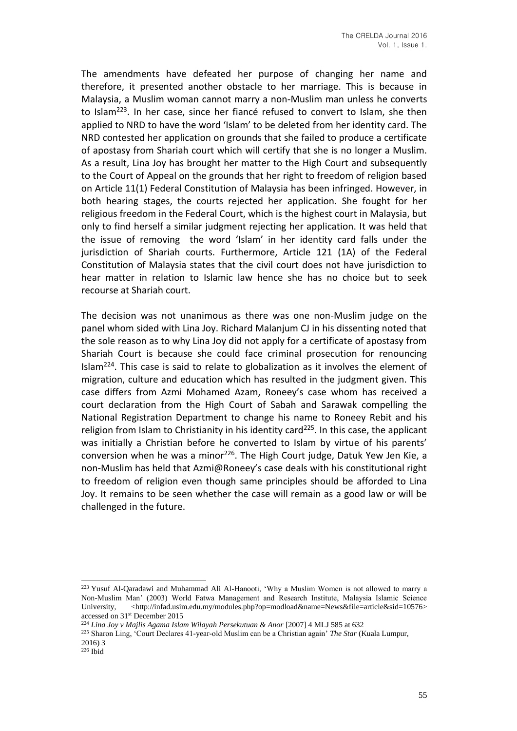The amendments have defeated her purpose of changing her name and therefore, it presented another obstacle to her marriage. This is because in Malaysia, a Muslim woman cannot marry a non-Muslim man unless he converts to Islam<sup>223</sup>. In her case, since her fiancé refused to convert to Islam, she then applied to NRD to have the word 'Islam' to be deleted from her identity card. The NRD contested her application on grounds that she failed to produce a certificate of apostasy from Shariah court which will certify that she is no longer a Muslim. As a result, Lina Joy has brought her matter to the High Court and subsequently to the Court of Appeal on the grounds that her right to freedom of religion based on Article 11(1) Federal Constitution of Malaysia has been infringed. However, in both hearing stages, the courts rejected her application. She fought for her religious freedom in the Federal Court, which is the highest court in Malaysia, but only to find herself a similar judgment rejecting her application. It was held that the issue of removing the word 'Islam' in her identity card falls under the jurisdiction of Shariah courts. Furthermore, Article 121 (1A) of the Federal Constitution of Malaysia states that the civil court does not have jurisdiction to hear matter in relation to Islamic law hence she has no choice but to seek recourse at Shariah court.

The decision was not unanimous as there was one non-Muslim judge on the panel whom sided with Lina Joy. Richard Malanjum CJ in his dissenting noted that the sole reason as to why Lina Joy did not apply for a certificate of apostasy from Shariah Court is because she could face criminal prosecution for renouncing Islam<sup>224</sup>. This case is said to relate to globalization as it involves the element of migration, culture and education which has resulted in the judgment given. This case differs from Azmi Mohamed Azam, Roneey's case whom has received a court declaration from the High Court of Sabah and Sarawak compelling the National Registration Department to change his name to Roneey Rebit and his religion from Islam to Christianity in his identity card<sup>225</sup>. In this case, the applicant was initially a Christian before he converted to Islam by virtue of his parents' conversion when he was a minor<sup>226</sup>. The High Court judge, Datuk Yew Jen Kie, a non-Muslim has held that Azmi@Roneey's case deals with his constitutional right to freedom of religion even though same principles should be afforded to Lina Joy. It remains to be seen whether the case will remain as a good law or will be challenged in the future.

<sup>223</sup> Yusuf Al-Qaradawi and Muhammad Ali Al-Hanooti, 'Why a Muslim Women is not allowed to marry a Non-Muslim Man' (2003) World Fatwa Management and Research Institute, Malaysia Islamic Science University, <http://infad.usim.edu.my/modules.php?op=modload&name=News&file=article&sid=10576> accessed on 31st December 2015

<sup>&</sup>lt;sup>224</sup> Lina Joy v Majlis Agama Islam Wilayah Persekutuan & Anor [2007] 4 MLJ 585 at 632

<sup>225</sup> Sharon Ling, 'Court Declares 41-year-old Muslim can be a Christian again' *The Star* (Kuala Lumpur, 2016) 3

 $226$  Ibid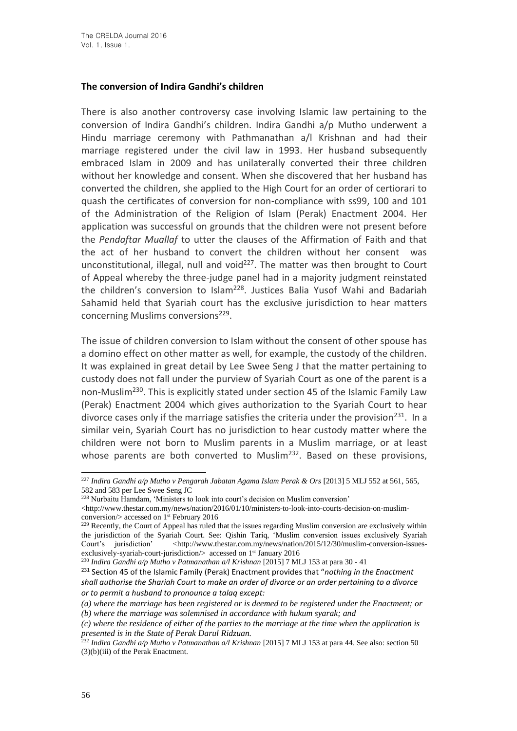## **The conversion of Indira Gandhi's children**

There is also another controversy case involving Islamic law pertaining to the conversion of Indira Gandhi's children. Indira Gandhi a/p Mutho underwent a Hindu marriage ceremony with Pathmanathan a/l Krishnan and had their marriage registered under the civil law in 1993. Her husband subsequently embraced Islam in 2009 and has unilaterally converted their three children without her knowledge and consent. When she discovered that her husband has converted the children, she applied to the High Court for an order of certiorari to quash the certificates of conversion for non-compliance with ss99, 100 and 101 of the Administration of the Religion of Islam (Perak) Enactment 2004. Her application was successful on grounds that the children were not present before the *Pendaftar Muallaf* to utter the clauses of the Affirmation of Faith and that the act of her husband to convert the children without her consent was unconstitutional, illegal, null and void $^{227}$ . The matter was then brought to Court of Appeal whereby the three-judge panel had in a majority judgment reinstated the children's conversion to Islam<sup>228</sup>. Justices Balia Yusof Wahi and Badariah Sahamid held that Syariah court has the exclusive jurisdiction to hear matters concerning Muslims conversions<sup>229</sup>.

The issue of children conversion to Islam without the consent of other spouse has a domino effect on other matter as well, for example, the custody of the children. It was explained in great detail by Lee Swee Seng J that the matter pertaining to custody does not fall under the purview of Syariah Court as one of the parent is a non-Muslim<sup>230</sup>. This is explicitly stated under section 45 of the Islamic Family Law (Perak) Enactment 2004 which gives authorization to the Syariah Court to hear divorce cases only if the marriage satisfies the criteria under the provision<sup>231</sup>. In a similar vein, Syariah Court has no jurisdiction to hear custody matter where the children were not born to Muslim parents in a Muslim marriage, or at least whose parents are both converted to Muslim<sup>232</sup>. Based on these provisions,

<sup>227</sup> *Indira Gandhi a/p Mutho v Pengarah Jabatan Agama Islam Perak & Ors* [2013] 5 MLJ 552 at 561, 565, 582 and 583 per Lee Swee Seng JC

<sup>228</sup> Nurbaitu Hamdam, 'Ministers to look into court's decision on Muslim conversion'

 $\langle$ http://www.thestar.com.my/news/nation/2016/01/10/ministers-to-look-into-courts-decision-on-muslimconversion/> accessed on 1<sup>st</sup> February 2016

<sup>&</sup>lt;sup>229</sup> Recently, the Court of Appeal has ruled that the issues regarding Muslim conversion are exclusively within the jurisdiction of the Syariah Court. See: Qishin Tariq, 'Muslim conversion issues exclusively Syariah Court's jurisdiction' <http://www.thestar.com.my/news/nation/2015/12/30/muslim-conversion-issuesexclusively-syariah-court-jurisdiction/> accessed on 1<sup>st</sup> January 2016

<sup>&</sup>lt;sup>230</sup> Indira Gandhi a/p Mutho v Patmanathan a/l Krishnan [2015] 7 MLJ 153 at para 30 - 41

<sup>231</sup> Section 45 of the Islamic Family (Perak) Enactment provides that "*nothing in the Enactment shall authorise the Shariah Court to make an order of divorce or an order pertaining to a divorce or to permit a husband to pronounce a talaq except:*

*<sup>(</sup>a) where the marriage has been registered or is deemed to be registered under the Enactment; or (b) where the marriage was solemnised in accordance with hukum syarak; and*

*<sup>(</sup>c) where the residence of either of the parties to the marriage at the time when the application is presented is in the State of Perak Darul Ridzuan.*

<sup>232</sup> *Indira Gandhi a/p Mutho v Patmanathan a/l Krishnan* [2015] 7 MLJ 153 at para 44. See also: section 50 (3)(b)(iii) of the Perak Enactment.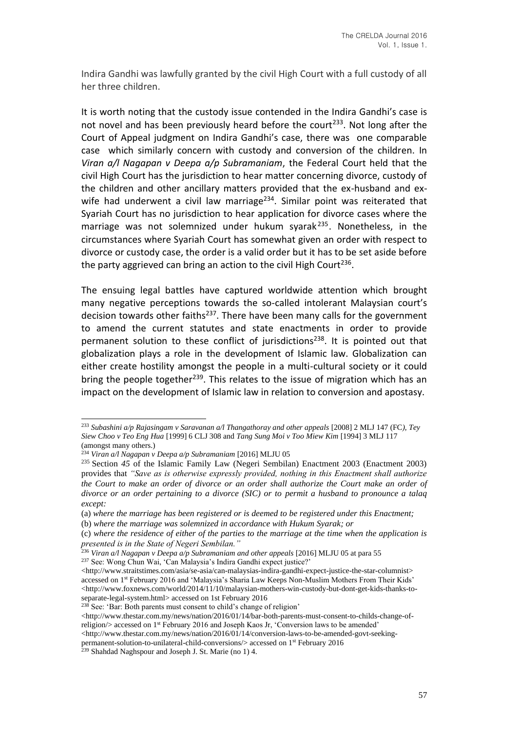Indira Gandhi was lawfully granted by the civil High Court with a full custody of all her three children.

It is worth noting that the custody issue contended in the Indira Gandhi's case is not novel and has been previously heard before the court<sup>233</sup>. Not long after the Court of Appeal judgment on Indira Gandhi's case, there was one comparable case which similarly concern with custody and conversion of the children. In *Viran a/l Nagapan v Deepa a/p Subramaniam*, the Federal Court held that the civil High Court has the jurisdiction to hear matter concerning divorce, custody of the children and other ancillary matters provided that the ex-husband and exwife had underwent a civil law marriage<sup>234</sup>. Similar point was reiterated that Syariah Court has no jurisdiction to hear application for divorce cases where the marriage was not solemnized under hukum svarak $^{235}$ . Nonetheless, in the circumstances where Syariah Court has somewhat given an order with respect to divorce or custody case, the order is a valid order but it has to be set aside before the party aggrieved can bring an action to the civil High Court<sup>236</sup>.

The ensuing legal battles have captured worldwide attention which brought many negative perceptions towards the so-called intolerant Malaysian court's decision towards other faiths $237$ . There have been many calls for the government to amend the current statutes and state enactments in order to provide permanent solution to these conflict of jurisdictions<sup>238</sup>. It is pointed out that globalization plays a role in the development of Islamic law. Globalization can either create hostility amongst the people in a multi-cultural society or it could bring the people together<sup>239</sup>. This relates to the issue of migration which has an impact on the development of Islamic law in relation to conversion and apostasy.

(b) *where the marriage was solemnized in accordance with Hukum Syarak; or*

<sup>238</sup> See: 'Bar: Both parents must consent to child's change of religion'

 $\langle$ http://www.thestar.com.my/news/nation/2016/01/14/bar-both-parents-must-consent-to-childs-change-ofreligion/> accessed on 1st February 2016 and Joseph Kaos Jr, 'Conversion laws to be amended'

 $\langle$ http://www.thestar.com.my/news/nation/2016/01/14/conversion-laws-to-be-amended-govt-seeking-

<sup>233</sup> *Subashini a/p Rajasingam v Saravanan a/l Thangathoray and other appeals* [2008] 2 MLJ 147 (FC*), Tey Siew Choo v Teo Eng Hua* [1999] 6 CLJ 308 and *Tang Sung Moi v Too Miew Kim* [1994] 3 MLJ 117 (amongst many others.)

<sup>234</sup> *Viran a/l Nagapan v Deepa a/p Subramaniam* [2016] MLJU 05

<sup>235</sup> Section *45* of the Islamic Family Law (Negeri Sembilan) Enactment 2003 (Enactment 2003) provides that *"Save as is otherwise expressly provided, nothing in this Enactment shall authorize the Court to make an order of divorce or an order shall authorize the Court make an order of divorce or an order pertaining to a divorce (SIC) or to permit a husband to pronounce a talaq except:*

<sup>(</sup>a) *where the marriage has been registered or is deemed to be registered under this Enactment;*

<sup>(</sup>c) *where the residence of either of the parties to the marriage at the time when the application is presented is in the State of Negeri Sembilan."*

<sup>236</sup> *Viran a/l Nagapan v Deepa a/p Subramaniam and other appeals* [2016] MLJU 05 at para 55 <sup>237</sup> See: Wong Chun Wai, 'Can Malaysia's Indira Gandhi expect justice?'

 $\langle$ http://www.straitstimes.com/asia/se-asia/can-malaysias-indira-gandhi-expect-justice-the-star-columnist $>$ accessed on 1st February 2016 and 'Malaysia's Sharia Law Keeps Non-Muslim Mothers From Their Kids'  $\langle$ http://www.foxnews.com/world/2014/11/10/malaysian-mothers-win-custody-but-dont-get-kids-thanks-toseparate-legal-system.html> accessed on 1st February 2016

permanent-solution-to-unilateral-child-conversions/> accessed on 1st February 2016

 $^{239}$  Shahdad Naghspour and Joseph J. St. Marie (no 1) 4.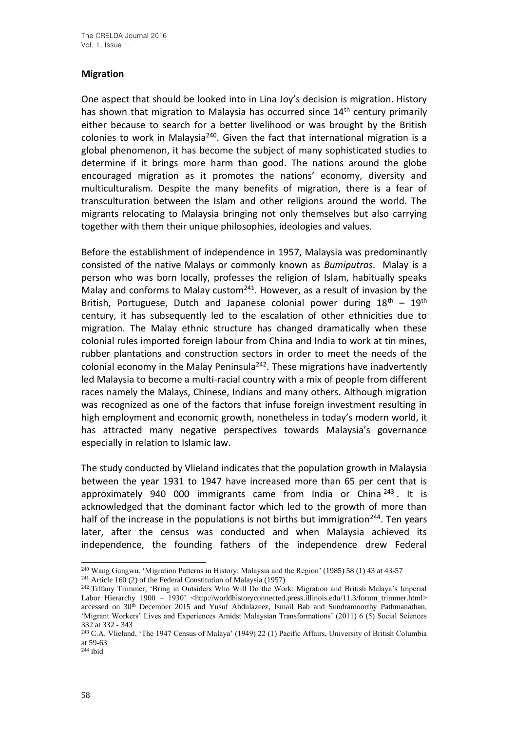# **Migration**

One aspect that should be looked into in Lina Joy's decision is migration. History has shown that migration to Malaysia has occurred since 14<sup>th</sup> century primarily either because to search for a better livelihood or was brought by the British colonies to work in Malaysia<sup>240</sup>. Given the fact that international migration is a global phenomenon, it has become the subject of many sophisticated studies to determine if it brings more harm than good. The nations around the globe encouraged migration as it promotes the nations' economy, diversity and multiculturalism. Despite the many benefits of migration, there is a fear of transculturation between the Islam and other religions around the world. The migrants relocating to Malaysia bringing not only themselves but also carrying together with them their unique philosophies, ideologies and values.

Before the establishment of independence in 1957, Malaysia was predominantly consisted of the native Malays or commonly known as *Bumiputras*. Malay is a person who was born locally, professes the religion of Islam, habitually speaks Malay and conforms to Malay custom<sup>241</sup>. However, as a result of invasion by the British, Portuguese, Dutch and Japanese colonial power during  $18<sup>th</sup> - 19<sup>th</sup>$ century, it has subsequently led to the escalation of other ethnicities due to migration. The Malay ethnic structure has changed dramatically when these colonial rules imported foreign labour from China and India to work at tin mines, rubber plantations and construction sectors in order to meet the needs of the colonial economy in the Malay Peninsula<sup>242</sup>. These migrations have inadvertently led Malaysia to become a multi-racial country with a mix of people from different races namely the Malays, Chinese, Indians and many others. Although migration was recognized as one of the factors that infuse foreign investment resulting in high employment and economic growth, nonetheless in today's modern world, it has attracted many negative perspectives towards Malaysia's governance especially in relation to Islamic law.

The study conducted by Vlieland indicates that the population growth in Malaysia between the year 1931 to 1947 have increased more than 65 per cent that is approximately 940 000 immigrants came from India or China  $243$ . It is acknowledged that the dominant factor which led to the growth of more than half of the increase in the populations is not births but immigration<sup>244</sup>. Ten years later, after the census was conducted and when Malaysia achieved its independence, the founding fathers of the independence drew Federal

<sup>240</sup> Wang Gungwu, 'Migration Patterns in History: Malaysia and the Region' (1985) 58 (1) 43 at 43-57

<sup>241</sup> Article 160 (2) of the Federal Constitution of Malaysia (1957)

<sup>&</sup>lt;sup>242</sup> Tiffany Trimmer, 'Bring in Outsiders Who Will Do the Work: Migration and British Malaya's Imperial Labor Hierarchy 1900 – 1930' <http://worldhistoryconnected.press.illinois.edu/11.3/forum\_trimmer.html> accessed on 30th December 2015 and Yusuf Abdulazeez, Ismail Bab and Sundramoorthy Pathmanathan, 'Migrant Workers' Lives and Experiences Amidst Malaysian Transformations' (2011) 6 (5) Social Sciences 332 at 332 - 343

<sup>243</sup> C.A. Vlieland, 'The 1947 Census of Malaya' (1949) 22 (1) Pacific Affairs, University of British Columbia at 59-63

 $244$  ibid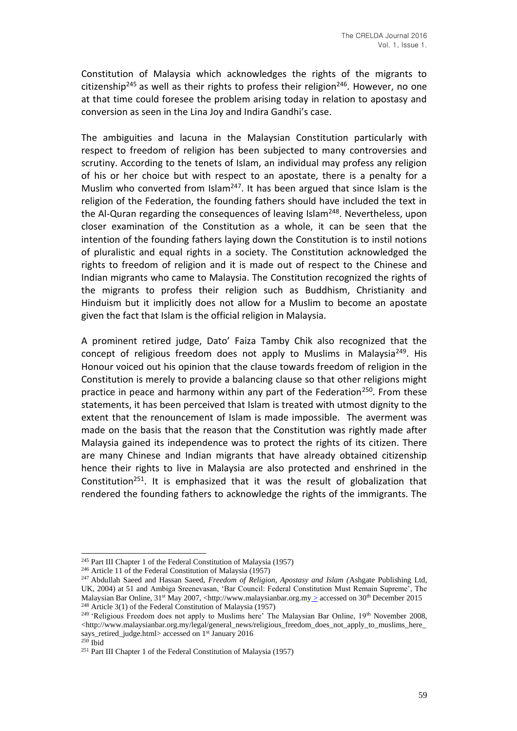Constitution of Malaysia which acknowledges the rights of the migrants to citizenship<sup>245</sup> as well as their rights to profess their religion<sup>246</sup>. However, no one at that time could foresee the problem arising today in relation to apostasy and conversion as seen in the Lina Joy and Indira Gandhi's case.

The ambiguities and lacuna in the Malaysian Constitution particularly with respect to freedom of religion has been subjected to many controversies and scrutiny. According to the tenets of Islam, an individual may profess any religion of his or her choice but with respect to an apostate, there is a penalty for a Muslim who converted from Islam<sup>247</sup>. It has been argued that since Islam is the religion of the Federation, the founding fathers should have included the text in the Al-Quran regarding the consequences of leaving Islam<sup>248</sup>. Nevertheless, upon closer examination of the Constitution as a whole, it can be seen that the intention of the founding fathers laying down the Constitution is to instil notions of pluralistic and equal rights in a society. The Constitution acknowledged the rights to freedom of religion and it is made out of respect to the Chinese and Indian migrants who came to Malaysia. The Constitution recognized the rights of the migrants to profess their religion such as Buddhism, Christianity and Hinduism but it implicitly does not allow for a Muslim to become an apostate given the fact that Islam is the official religion in Malaysia.

A prominent retired judge, Dato' Faiza Tamby Chik also recognized that the concept of religious freedom does not apply to Muslims in Malaysia<sup>249</sup>. His Honour voiced out his opinion that the clause towards freedom of religion in the Constitution is merely to provide a balancing clause so that other religions might practice in peace and harmony within any part of the Federation<sup>250</sup>. From these statements, it has been perceived that Islam is treated with utmost dignity to the extent that the renouncement of Islam is made impossible. The averment was made on the basis that the reason that the Constitution was rightly made after Malaysia gained its independence was to protect the rights of its citizen. There are many Chinese and Indian migrants that have already obtained citizenship hence their rights to live in Malaysia are also protected and enshrined in the Constitution<sup>251</sup>. It is emphasized that it was the result of globalization that rendered the founding fathers to acknowledge the rights of the immigrants. The

<sup>245</sup> Part III Chapter 1 of the Federal Constitution of Malaysia (1957)

<sup>246</sup> Article 11 of the Federal Constitution of Malaysia (1957)

<sup>247</sup> Abdullah Saeed and Hassan Saeed, *Freedom of Religion, Apostasy and Islam (*Ashgate Publishing Ltd, UK, 2004) at 51 and Ambiga Sreenevasan, 'Bar Council: Federal Constitution Must Remain Supreme', The Malaysian Bar Online, 31<sup>st</sup> May 2007, <http://www.malaysianbar.org.my 
sccessed on 30<sup>th</sup> December 2015 <sup>248</sup> Article 3(1) of the Federal Constitution of Malaysia (1957)

<sup>&</sup>lt;sup>249</sup> 'Religious Freedom does not apply to Muslims here' The Malaysian Bar Online, 19<sup>th</sup> November 2008, <http://www.malaysianbar.org.my/legal/general\_news/religious\_freedom\_does\_not\_apply\_to\_muslims\_here\_ says\_retired\_judge.html> accessed on  $1<sup>st</sup>$  January 2016 <sup>250</sup> Ibid

<sup>251</sup> Part III Chapter 1 of the Federal Constitution of Malaysia (1957)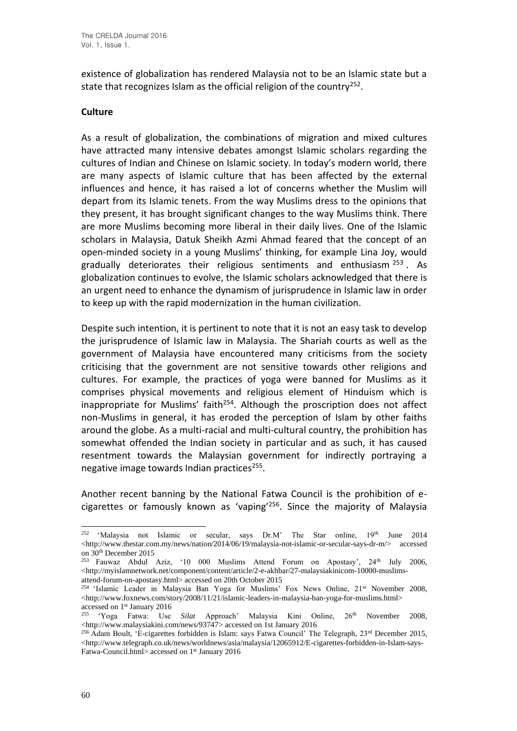existence of globalization has rendered Malaysia not to be an Islamic state but a state that recognizes Islam as the official religion of the country<sup>252</sup>.

#### **Culture**

As a result of globalization, the combinations of migration and mixed cultures have attracted many intensive debates amongst Islamic scholars regarding the cultures of Indian and Chinese on Islamic society. In today's modern world, there are many aspects of Islamic culture that has been affected by the external influences and hence, it has raised a lot of concerns whether the Muslim will depart from its Islamic tenets. From the way Muslims dress to the opinions that they present, it has brought significant changes to the way Muslims think. There are more Muslims becoming more liberal in their daily lives. One of the Islamic scholars in Malaysia, Datuk Sheikh Azmi Ahmad feared that the concept of an open-minded society in a young Muslims' thinking, for example Lina Joy, would gradually deteriorates their religious sentiments and enthusiasm  $253$ . As globalization continues to evolve, the Islamic scholars acknowledged that there is an urgent need to enhance the dynamism of jurisprudence in Islamic law in order to keep up with the rapid modernization in the human civilization.

Despite such intention, it is pertinent to note that it is not an easy task to develop the jurisprudence of Islamic law in Malaysia. The Shariah courts as well as the government of Malaysia have encountered many criticisms from the society criticising that the government are not sensitive towards other religions and cultures. For example, the practices of yoga were banned for Muslims as it comprises physical movements and religious element of Hinduism which is inappropriate for Muslims' faith<sup>254</sup>. Although the proscription does not affect non-Muslims in general, it has eroded the perception of Islam by other faiths around the globe. As a multi-racial and multi-cultural country, the prohibition has somewhat offended the Indian society in particular and as such, it has caused resentment towards the Malaysian government for indirectly portraying a negative image towards Indian practices<sup>255</sup>.

Another recent banning by the National Fatwa Council is the prohibition of ecigarettes or famously known as 'vaping'<sup>256</sup>. Since the majority of Malaysia

<sup>&</sup>lt;sup>252</sup> 'Malaysia not Islamic or secular, says Dr.M' The Star online, 19<sup>th</sup> June 2014 <http://www.thestar.com.my/news/nation/2014/06/19/malaysia-not-islamic-or-secular-says-dr-m/> accessed on 30th December 2015

<sup>&</sup>lt;sup>253</sup> Fauwaz Abdul Aziz, '10 000 Muslims Attend Forum on Apostasy', 24<sup>th</sup> July 2006,  $\langle$ http://myislamnetwork.net/component/content/article/2-e-akhbar/27-malaysiakinicom-10000-muslimsattend-forum-on-apostasy.html> accessed on 20th October 2015

<sup>&</sup>lt;sup>254</sup> 'Islamic Leader in Malaysia Ban Yoga for Muslims' Fox News Online, 21<sup>st</sup> November 2008, <http://www.foxnews.com/story/2008/11/21/islamic-leaders-in-malaysia-ban-yoga-for-muslims.html>  $\frac{\text{accessed on 1st January 2016}}{\text{Soa}}$ 

<sup>255</sup> 'Yoga Fatwa: Use *Silat* Approach' Malaysia Kini Online, 26th November 2008, <http://www.malaysiakini.com/news/93747> accessed on 1st January 2016

<sup>256</sup> Adam Boult, 'E-cigarettes forbidden is Islam: says Fatwa Council' The Telegraph, 23rd December 2015,  $\langle$ http://www.telegraph.co.uk/news/worldnews/asia/malaysia/12065912/E-cigarettes-forbidden-in-Islam-says-Fatwa-Council.html> accessed on 1<sup>st</sup> January 2016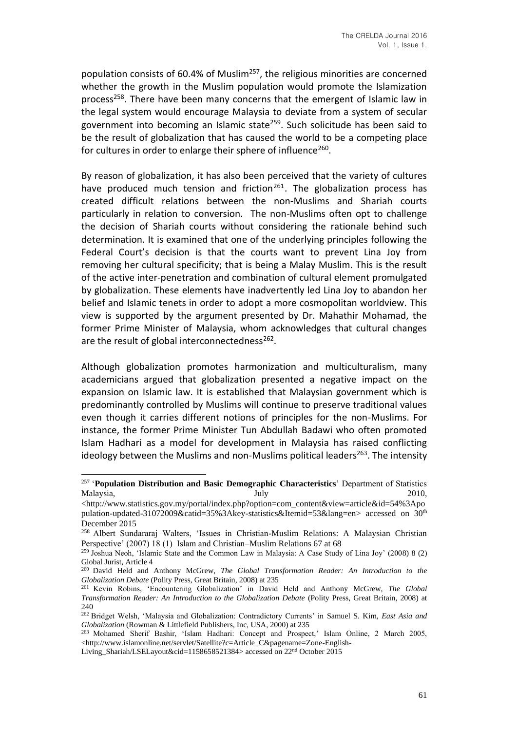population consists of 60.4% of Muslim<sup>257</sup>, the religious minorities are concerned whether the growth in the Muslim population would promote the Islamization process<sup>258</sup>. There have been many concerns that the emergent of Islamic law in the legal system would encourage Malaysia to deviate from a system of secular government into becoming an Islamic state<sup>259</sup>. Such solicitude has been said to be the result of globalization that has caused the world to be a competing place for cultures in order to enlarge their sphere of influence<sup>260</sup>.

By reason of globalization, it has also been perceived that the variety of cultures have produced much tension and friction<sup>261</sup>. The globalization process has created difficult relations between the non-Muslims and Shariah courts particularly in relation to conversion. The non-Muslims often opt to challenge the decision of Shariah courts without considering the rationale behind such determination. It is examined that one of the underlying principles following the Federal Court's decision is that the courts want to prevent Lina Joy from removing her cultural specificity; that is being a Malay Muslim. This is the result of the active inter-penetration and combination of cultural element promulgated by globalization. These elements have inadvertently led Lina Joy to abandon her belief and Islamic tenets in order to adopt a more cosmopolitan worldview. This view is supported by the argument presented by Dr. Mahathir Mohamad, the former Prime Minister of Malaysia, whom acknowledges that cultural changes are the result of global interconnectedness<sup>262</sup>.

Although globalization promotes harmonization and multiculturalism, many academicians argued that globalization presented a negative impact on the expansion on Islamic law. It is established that Malaysian government which is predominantly controlled by Muslims will continue to preserve traditional values even though it carries different notions of principles for the non-Muslims. For instance, the former Prime Minister Tun Abdullah Badawi who often promoted Islam Hadhari as a model for development in Malaysia has raised conflicting ideology between the Muslims and non-Muslims political leaders<sup>263</sup>. The intensity

<sup>257</sup> '**Population Distribution and Basic Demographic Characteristics**' Department of Statistics Malaysia, 2010, 2010, 2010, 2010, 2010, 2010, 2010, 2010, 2010, 2010, 2010, 2010, 2010, 2010, 2010, 2010, 2010

<sup>&</sup>lt;http://www.statistics.gov.my/portal/index.php?option=com\_content&view=article&id=54%3Apo pulation-updated-31072009&catid=35%3Akey-statistics&Itemid=53&lang=en> accessed on 30<sup>th</sup> December 2015

<sup>258</sup> Albert Sundararaj Walters, 'Issues in Christian-Muslim Relations: A Malaysian Christian Perspective' (2007) 18 (1) Islam and Christian–Muslim Relations 67 at 68

<sup>259</sup> Joshua Neoh, 'Islamic State and the Common Law in Malaysia: A Case Study of Lina Joy' (2008) 8 (2) Global Jurist, Article 4

<sup>260</sup> David Held and Anthony McGrew, *The Global Transformation Reader: An Introduction to the Globalization Debate* (Polity Press, Great Britain, 2008) at 235

<sup>261</sup> Kevin Robins, 'Encountering Globalization' in David Held and Anthony McGrew, *The Global Transformation Reader: An Introduction to the Globalization Debate* (Polity Press, Great Britain, 2008) at 240

<sup>262</sup> Bridget Welsh, 'Malaysia and Globalization: Contradictory Currents' in Samuel S. Kim, *East Asia and Globalization* (Rowman & Littlefield Publishers, Inc, USA, 2000) at 235

<sup>263</sup> Mohamed Sherif Bashir, 'Islam Hadhari: Concept and Prospect,' Islam Online, 2 March 2005, <http://www.islamonline.net/servlet/Satellite?c=Article\_C&pagename=Zone-English-

Living Shariah/LSELayout&cid=1158658521384> accessed on  $22<sup>nd</sup>$  October 2015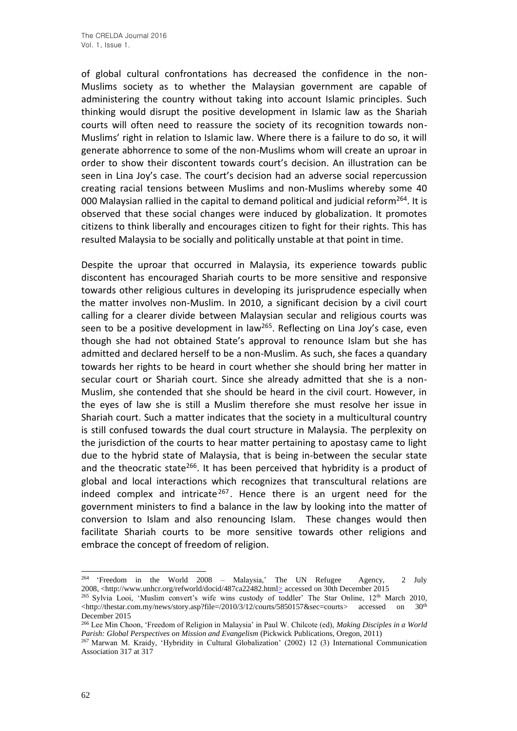of global cultural confrontations has decreased the confidence in the non-Muslims society as to whether the Malaysian government are capable of administering the country without taking into account Islamic principles. Such thinking would disrupt the positive development in Islamic law as the Shariah courts will often need to reassure the society of its recognition towards non-Muslims' right in relation to Islamic law. Where there is a failure to do so, it will generate abhorrence to some of the non-Muslims whom will create an uproar in order to show their discontent towards court's decision. An illustration can be seen in Lina Joy's case. The court's decision had an adverse social repercussion creating racial tensions between Muslims and non-Muslims whereby some 40 000 Malaysian rallied in the capital to demand political and judicial reform<sup>264</sup>. It is observed that these social changes were induced by globalization. It promotes citizens to think liberally and encourages citizen to fight for their rights. This has resulted Malaysia to be socially and politically unstable at that point in time.

Despite the uproar that occurred in Malaysia, its experience towards public discontent has encouraged Shariah courts to be more sensitive and responsive towards other religious cultures in developing its jurisprudence especially when the matter involves non-Muslim. In 2010, a significant decision by a civil court calling for a clearer divide between Malaysian secular and religious courts was seen to be a positive development in law<sup>265</sup>. Reflecting on Lina Joy's case, even though she had not obtained State's approval to renounce Islam but she has admitted and declared herself to be a non-Muslim. As such, she faces a quandary towards her rights to be heard in court whether she should bring her matter in secular court or Shariah court. Since she already admitted that she is a non-Muslim, she contended that she should be heard in the civil court. However, in the eyes of law she is still a Muslim therefore she must resolve her issue in Shariah court. Such a matter indicates that the society in a multicultural country is still confused towards the dual court structure in Malaysia. The perplexity on the jurisdiction of the courts to hear matter pertaining to apostasy came to light due to the hybrid state of Malaysia, that is being in-between the secular state and the theocratic state<sup>266</sup>. It has been perceived that hybridity is a product of global and local interactions which recognizes that transcultural relations are indeed complex and intricate<sup>267</sup>. Hence there is an urgent need for the government ministers to find a balance in the law by looking into the matter of conversion to Islam and also renouncing Islam. These changes would then facilitate Shariah courts to be more sensitive towards other religions and embrace the concept of freedom of religion.

<sup>264</sup> 'Freedom in the World 2008 – Malaysia,' The UN Refugee Agency, 2 July 2008, <http://www.unhcr.org/refworld/docid/487ca22482.html> accessed on 30th December 2015

<sup>&</sup>lt;sup>265</sup> Sylvia Looi, 'Muslim convert's wife wins custody of toddler' The Star Online, 12<sup>th</sup> March 2010, <http://thestar.com.my/news/story.asp?file=/2010/3/12/courts/5850157&sec=courts> accessed on 30th December 2015

<sup>266</sup> Lee Min Choon, 'Freedom of Religion in Malaysia' in Paul W. Chilcote (ed), *Making Disciples in a World Parish: Global Perspectives on Mission and Evangelism* (Pickwick Publications, Oregon, 2011)

<sup>267</sup> Marwan M. Kraidy, 'Hybridity in Cultural Globalization' (2002) 12 (3) International Communication Association 317 at 317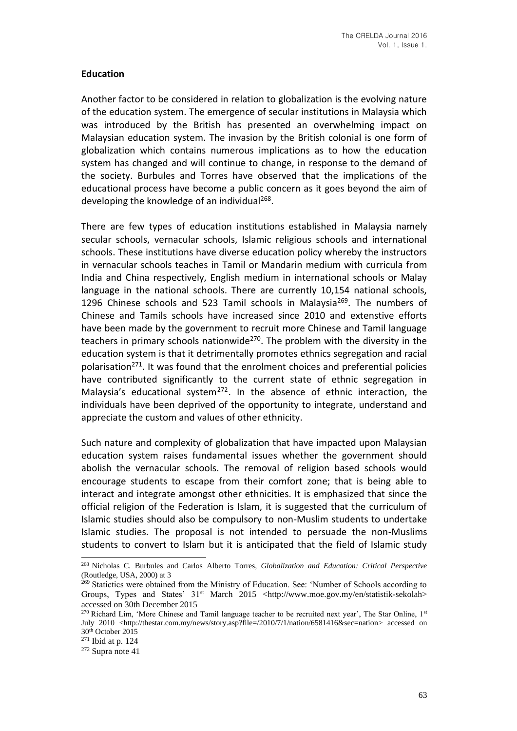## **Education**

Another factor to be considered in relation to globalization is the evolving nature of the education system. The emergence of secular institutions in Malaysia which was introduced by the British has presented an overwhelming impact on Malaysian education system. The invasion by the British colonial is one form of globalization which contains numerous implications as to how the education system has changed and will continue to change, in response to the demand of the society. Burbules and Torres have observed that the implications of the educational process have become a public concern as it goes beyond the aim of developing the knowledge of an individual<sup>268</sup>.

There are few types of education institutions established in Malaysia namely secular schools, vernacular schools, Islamic religious schools and international schools. These institutions have diverse education policy whereby the instructors in vernacular schools teaches in Tamil or Mandarin medium with curricula from India and China respectively, English medium in international schools or Malay language in the national schools. There are currently 10,154 national schools, 1296 Chinese schools and 523 Tamil schools in Malaysia<sup>269</sup>. The numbers of Chinese and Tamils schools have increased since 2010 and extenstive efforts have been made by the government to recruit more Chinese and Tamil language teachers in primary schools nationwide<sup>270</sup>. The problem with the diversity in the education system is that it detrimentally promotes ethnics segregation and racial polarisation<sup>271</sup>. It was found that the enrolment choices and preferential policies have contributed significantly to the current state of ethnic segregation in Malaysia's educational system<sup>272</sup>. In the absence of ethnic interaction, the individuals have been deprived of the opportunity to integrate, understand and appreciate the custom and values of other ethnicity.

Such nature and complexity of globalization that have impacted upon Malaysian education system raises fundamental issues whether the government should abolish the vernacular schools. The removal of religion based schools would encourage students to escape from their comfort zone; that is being able to interact and integrate amongst other ethnicities. It is emphasized that since the official religion of the Federation is Islam, it is suggested that the curriculum of Islamic studies should also be compulsory to non-Muslim students to undertake Islamic studies. The proposal is not intended to persuade the non-Muslims students to convert to Islam but it is anticipated that the field of Islamic study

<sup>268</sup> Nicholas C. Burbules and Carlos Alberto Torres, *Globalization and Education: Critical Perspective* (Routledge, USA, 2000) at 3

<sup>&</sup>lt;sup>269</sup> Statictics were obtained from the Ministry of Education. See: 'Number of Schools according to Groups, Types and States' 31<sup>st</sup> March 2015 <http://www.moe.gov.my/en/statistik-sekolah> accessed on 30th December 2015

<sup>&</sup>lt;sup>270</sup> Richard Lim, 'More Chinese and Tamil language teacher to be recruited next year', The Star Online,  $1<sup>st</sup>$ July 2010 <http://thestar.com.my/news/story.asp?file=/2010/7/1/nation/6581416&sec=nation> accessed on 30th October 2015

<sup>271</sup> Ibid at p. 124

 $272$  Supra note 41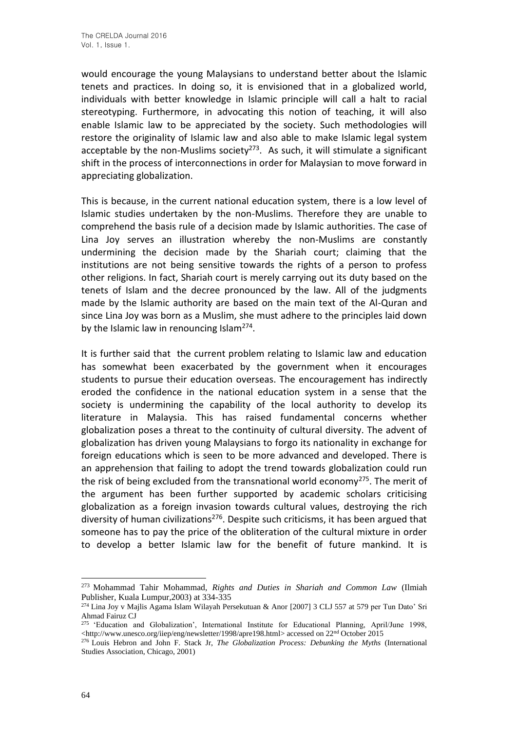would encourage the young Malaysians to understand better about the Islamic tenets and practices. In doing so, it is envisioned that in a globalized world, individuals with better knowledge in Islamic principle will call a halt to racial stereotyping. Furthermore, in advocating this notion of teaching, it will also enable Islamic law to be appreciated by the society. Such methodologies will restore the originality of Islamic law and also able to make Islamic legal system acceptable by the non-Muslims society<sup>273</sup>. As such, it will stimulate a significant shift in the process of interconnections in order for Malaysian to move forward in appreciating globalization.

This is because, in the current national education system, there is a low level of Islamic studies undertaken by the non-Muslims. Therefore they are unable to comprehend the basis rule of a decision made by Islamic authorities. The case of Lina Joy serves an illustration whereby the non-Muslims are constantly undermining the decision made by the Shariah court; claiming that the institutions are not being sensitive towards the rights of a person to profess other religions. In fact, Shariah court is merely carrying out its duty based on the tenets of Islam and the decree pronounced by the law. All of the judgments made by the Islamic authority are based on the main text of the Al-Quran and since Lina Joy was born as a Muslim, she must adhere to the principles laid down by the Islamic law in renouncing Islam<sup>274</sup>.

It is further said that the current problem relating to Islamic law and education has somewhat been exacerbated by the government when it encourages students to pursue their education overseas. The encouragement has indirectly eroded the confidence in the national education system in a sense that the society is undermining the capability of the local authority to develop its literature in Malaysia. This has raised fundamental concerns whether globalization poses a threat to the continuity of cultural diversity. The advent of globalization has driven young Malaysians to forgo its nationality in exchange for foreign educations which is seen to be more advanced and developed. There is an apprehension that failing to adopt the trend towards globalization could run the risk of being excluded from the transnational world economy<sup>275</sup>. The merit of the argument has been further supported by academic scholars criticising globalization as a foreign invasion towards cultural values, destroying the rich diversity of human civilizations<sup>276</sup>. Despite such criticisms, it has been argued that someone has to pay the price of the obliteration of the cultural mixture in order to develop a better Islamic law for the benefit of future mankind. It is

<sup>273</sup> Mohammad Tahir Mohammad, *Rights and Duties in Shariah and Common Law* (Ilmiah Publisher, Kuala Lumpur,2003) at 334-335

<sup>274</sup> Lina Joy v Majlis Agama Islam Wilayah Persekutuan & Anor [2007] 3 CLJ 557 at 579 per Tun Dato' Sri Ahmad Fairuz CJ

<sup>&</sup>lt;sup>275</sup> 'Education and Globalization', International Institute for Educational Planning, April/June 1998, <http://www.unesco.org/iiep/eng/newsletter/1998/apre198.html> accessed on 22nd October 2015

<sup>276</sup> Louis Hebron and John F. Stack Jr, *The Globalization Process: Debunking the Myths* (International Studies Association, Chicago, 2001)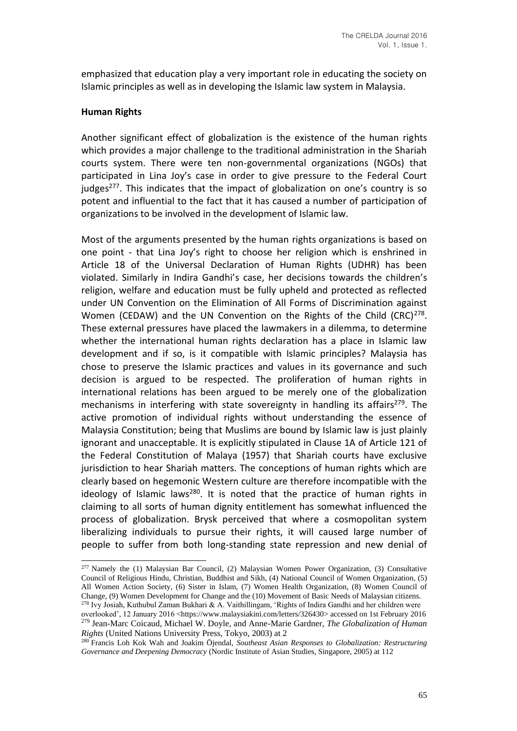emphasized that education play a very important role in educating the society on Islamic principles as well as in developing the Islamic law system in Malaysia.

#### **Human Rights**

Another significant effect of globalization is the existence of the human rights which provides a major challenge to the traditional administration in the Shariah courts system. There were ten non-governmental organizations (NGOs) that participated in Lina Joy's case in order to give pressure to the Federal Court judges<sup>277</sup>. This indicates that the impact of globalization on one's country is so potent and influential to the fact that it has caused a number of participation of organizations to be involved in the development of Islamic law.

Most of the arguments presented by the human rights organizations is based on one point - that Lina Joy's right to choose her religion which is enshrined in Article 18 of the Universal Declaration of Human Rights (UDHR) has been violated. Similarly in Indira Gandhi's case, her decisions towards the children's religion, welfare and education must be fully upheld and protected as reflected under UN Convention on the Elimination of All Forms of Discrimination against Women (CEDAW) and the UN Convention on the Rights of the Child (CRC) $^{278}$ . These external pressures have placed the lawmakers in a dilemma, to determine whether the international human rights declaration has a place in Islamic law development and if so, is it compatible with Islamic principles? Malaysia has chose to preserve the Islamic practices and values in its governance and such decision is argued to be respected. The proliferation of human rights in international relations has been argued to be merely one of the globalization mechanisms in interfering with state sovereignty in handling its affairs<sup>279</sup>. The active promotion of individual rights without understanding the essence of Malaysia Constitution; being that Muslims are bound by Islamic law is just plainly ignorant and unacceptable. It is explicitly stipulated in Clause 1A of Article 121 of the Federal Constitution of Malaya (1957) that Shariah courts have exclusive jurisdiction to hear Shariah matters. The conceptions of human rights which are clearly based on hegemonic Western culture are therefore incompatible with the ideology of Islamic laws<sup>280</sup>. It is noted that the practice of human rights in claiming to all sorts of human dignity entitlement has somewhat influenced the process of globalization. Brysk perceived that where a cosmopolitan system liberalizing individuals to pursue their rights, it will caused large number of people to suffer from both long-standing state repression and new denial of

<sup>277</sup> Namely the (1) Malaysian Bar Council, (2) Malaysian Women Power Organization, (3) Consultative Council of Religious Hindu, Christian, Buddhist and Sikh, (4) National Council of Women Organization, (5) All Women Action Society, (6) Sister in Islam, (7) Women Health Organization, (8) Women Council of Change, (9) Women Development for Change and the (10) Movement of Basic Needs of Malaysian citizens. <sup>278</sup> Ivy Josiah, Kuthubul Zaman Bukhari & A. Vaithillingam, 'Rights of Indira Gandhi and her children were

overlooked', 12 January 2016 <https://www.malaysiakini.com/letters/326430> accessed on 1st February 2016 <sup>279</sup> Jean-Marc Coicaud, Michael W. Doyle, and Anne-Marie Gardner, *The Globalization of Human Rights* (United Nations University Press, Tokyo, 2003) at 2

<sup>280</sup> Francis Loh Kok Wah and Joakim Öjendal, *Southeast Asian Responses to Globalization: Restructuring Governance and Deepening Democracy* (Nordic Institute of Asian Studies, Singapore, 2005) at 112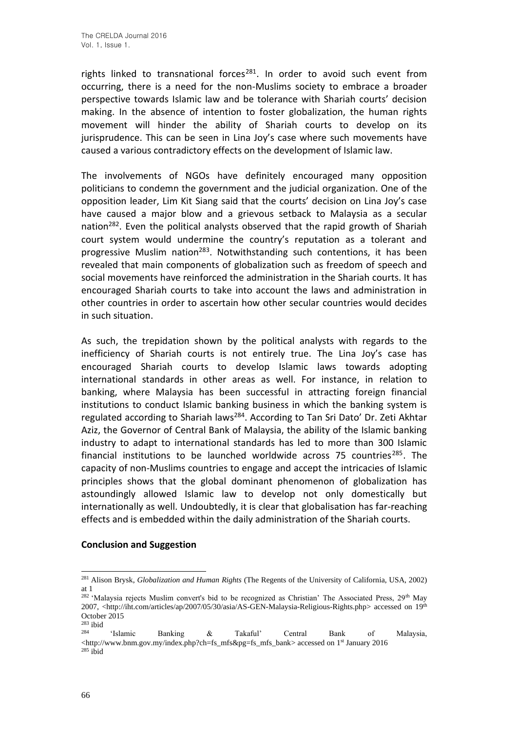rights linked to transnational forces<sup>281</sup>. In order to avoid such event from occurring, there is a need for the non-Muslims society to embrace a broader perspective towards Islamic law and be tolerance with Shariah courts' decision making. In the absence of intention to foster globalization, the human rights movement will hinder the ability of Shariah courts to develop on its jurisprudence. This can be seen in Lina Joy's case where such movements have caused a various contradictory effects on the development of Islamic law.

The involvements of NGOs have definitely encouraged many opposition politicians to condemn the government and the judicial organization. One of the opposition leader, Lim Kit Siang said that the courts' decision on Lina Joy's case have caused a major blow and a grievous setback to Malaysia as a secular nation<sup>282</sup>. Even the political analysts observed that the rapid growth of Shariah court system would undermine the country's reputation as a tolerant and progressive Muslim nation<sup>283</sup>. Notwithstanding such contentions, it has been revealed that main components of globalization such as freedom of speech and social movements have reinforced the administration in the Shariah courts. It has encouraged Shariah courts to take into account the laws and administration in other countries in order to ascertain how other secular countries would decides in such situation.

As such, the trepidation shown by the political analysts with regards to the inefficiency of Shariah courts is not entirely true. The Lina Joy's case has encouraged Shariah courts to develop Islamic laws towards adopting international standards in other areas as well. For instance, in relation to banking, where Malaysia has been successful in attracting foreign financial institutions to conduct Islamic banking business in which the banking system is regulated according to Shariah laws<sup>284</sup>. According to Tan Sri Dato' Dr. Zeti Akhtar Aziz, the Governor of Central Bank of Malaysia, the ability of the Islamic banking industry to adapt to international standards has led to more than 300 Islamic financial institutions to be launched worldwide across 75 countries<sup>285</sup>. The capacity of non-Muslims countries to engage and accept the intricacies of Islamic principles shows that the global dominant phenomenon of globalization has astoundingly allowed Islamic law to develop not only domestically but internationally as well. Undoubtedly, it is clear that globalisation has far-reaching effects and is embedded within the daily administration of the Shariah courts.

## **Conclusion and Suggestion**

<sup>281</sup> Alison Brysk, *Globalization and Human Rights* (The Regents of the University of California, USA, 2002) at 1

<sup>&</sup>lt;sup>282</sup> 'Malaysia rejects Muslim convert's bid to be recognized as Christian' The Associated Press,  $29<sup>th</sup>$  May 2007, <http://iht.com/articles/ap/2007/05/30/asia/AS-GEN-Malaysia-Religious-Rights.php> accessed on 19<sup>th</sup> October 2015

 $\frac{283}{284}$ ibid

<sup>284</sup> 'Islamic Banking & Takaful' Central Bank of Malaysia, <http://www.bnm.gov.my/index.php?ch=fs\_mfs&pg=fs\_mfs\_bank> accessed on 1st January 2016  $285$  ibid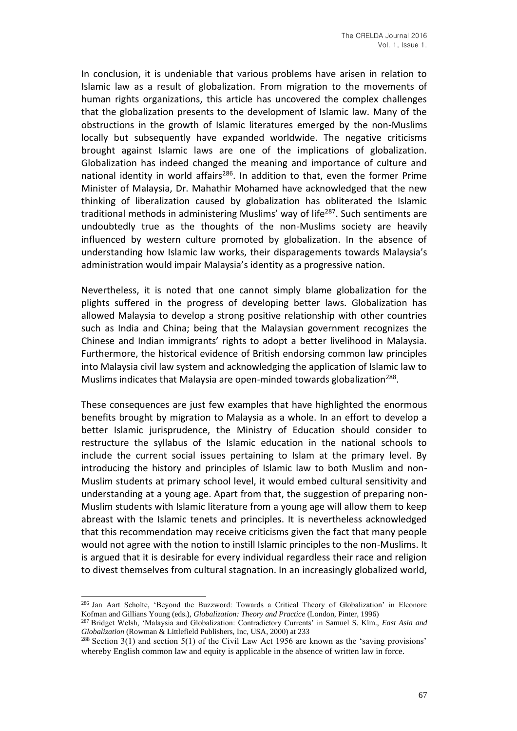In conclusion, it is undeniable that various problems have arisen in relation to Islamic law as a result of globalization. From migration to the movements of human rights organizations, this article has uncovered the complex challenges that the globalization presents to the development of Islamic law. Many of the obstructions in the growth of Islamic literatures emerged by the non-Muslims locally but subsequently have expanded worldwide. The negative criticisms brought against Islamic laws are one of the implications of globalization. Globalization has indeed changed the meaning and importance of culture and national identity in world affairs<sup>286</sup>. In addition to that, even the former Prime Minister of Malaysia, Dr. Mahathir Mohamed have acknowledged that the new thinking of liberalization caused by globalization has obliterated the Islamic traditional methods in administering Muslims' way of life<sup>287</sup>. Such sentiments are undoubtedly true as the thoughts of the non-Muslims society are heavily influenced by western culture promoted by globalization. In the absence of understanding how Islamic law works, their disparagements towards Malaysia's administration would impair Malaysia's identity as a progressive nation.

Nevertheless, it is noted that one cannot simply blame globalization for the plights suffered in the progress of developing better laws. Globalization has allowed Malaysia to develop a strong positive relationship with other countries such as India and China; being that the Malaysian government recognizes the Chinese and Indian immigrants' rights to adopt a better livelihood in Malaysia. Furthermore, the historical evidence of British endorsing common law principles into Malaysia civil law system and acknowledging the application of Islamic law to Muslims indicates that Malaysia are open-minded towards globalization<sup>288</sup>.

These consequences are just few examples that have highlighted the enormous benefits brought by migration to Malaysia as a whole. In an effort to develop a better Islamic jurisprudence, the Ministry of Education should consider to restructure the syllabus of the Islamic education in the national schools to include the current social issues pertaining to Islam at the primary level. By introducing the history and principles of Islamic law to both Muslim and non-Muslim students at primary school level, it would embed cultural sensitivity and understanding at a young age. Apart from that, the suggestion of preparing non-Muslim students with Islamic literature from a young age will allow them to keep abreast with the Islamic tenets and principles. It is nevertheless acknowledged that this recommendation may receive criticisms given the fact that many people would not agree with the notion to instill Islamic principles to the non-Muslims. It is argued that it is desirable for every individual regardless their race and religion to divest themselves from cultural stagnation. In an increasingly globalized world,

<sup>286</sup> Jan Aart Scholte, 'Beyond the Buzzword: Towards a Critical Theory of Globalization' in Eleonore Kofman and Gillians Young (eds.), *Globalization: Theory and Practice* (London, Pinter, 1996)

<sup>287</sup> Bridget Welsh, 'Malaysia and Globalization: Contradictory Currents' in Samuel S. Kim., *East Asia and Globalization* (Rowman & Littlefield Publishers, Inc, USA, 2000) at 233

<sup>288</sup> Section 3(1) and section 5(1) of the Civil Law Act 1956 are known as the 'saving provisions' whereby English common law and equity is applicable in the absence of written law in force.